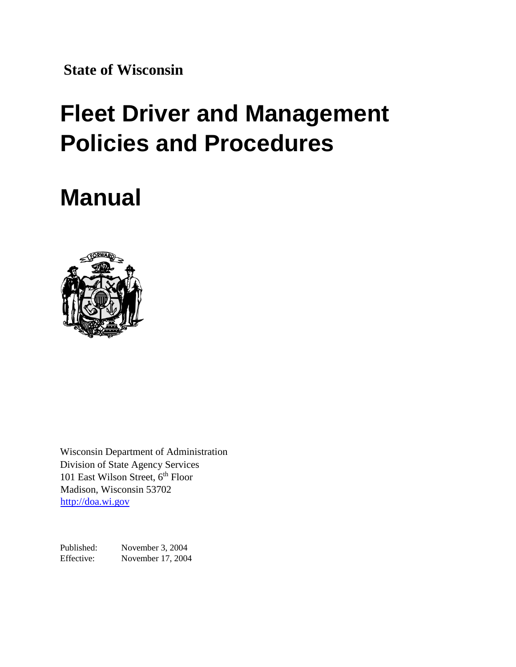**State of Wisconsin**

## **Fleet Driver and Management Policies and Procedures**

## **Manual**



Wisconsin Department of Administration Division of State Agency Services 101 East Wilson Street, 6<sup>th</sup> Floor Madison, Wisconsin 53702 [http://doa.wi.gov](http://www.doa.state.wi.us/)

Published: November 3, 2004 Effective: November 17, 2004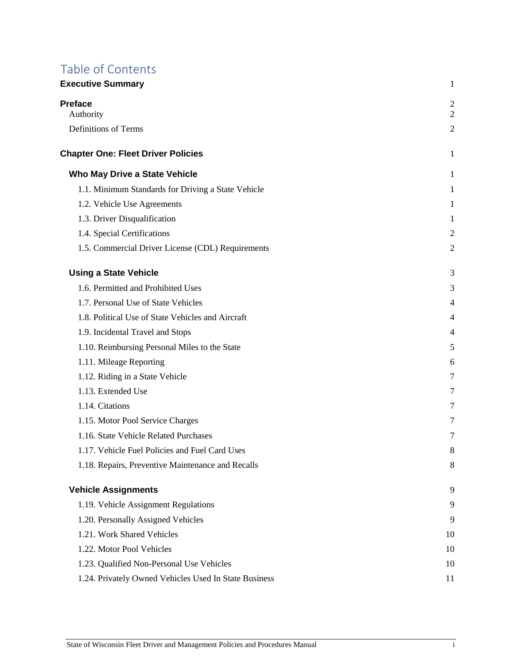# Table of Contents

| <b>Executive Summary</b>                              |                                  |
|-------------------------------------------------------|----------------------------------|
| <b>Preface</b><br>Authority                           | $\overline{c}$<br>$\overline{2}$ |
| <b>Definitions of Terms</b>                           | $\overline{2}$                   |
| <b>Chapter One: Fleet Driver Policies</b>             | 1                                |
| Who May Drive a State Vehicle                         | 1                                |
| 1.1. Minimum Standards for Driving a State Vehicle    | 1                                |
| 1.2. Vehicle Use Agreements                           | 1                                |
| 1.3. Driver Disqualification                          | 1                                |
| 1.4. Special Certifications                           | $\overline{2}$                   |
| 1.5. Commercial Driver License (CDL) Requirements     | $\overline{2}$                   |
| <b>Using a State Vehicle</b>                          | 3                                |
| 1.6. Permitted and Prohibited Uses                    | 3                                |
| 1.7. Personal Use of State Vehicles                   | 4                                |
| 1.8. Political Use of State Vehicles and Aircraft     | 4                                |
| 1.9. Incidental Travel and Stops                      | 4                                |
| 1.10. Reimbursing Personal Miles to the State         | 5                                |
| 1.11. Mileage Reporting                               | 6                                |
| 1.12. Riding in a State Vehicle                       | 7                                |
| 1.13. Extended Use                                    | 7                                |
| 1.14. Citations                                       | 7                                |
| 1.15. Motor Pool Service Charges                      | 7                                |
| 1.16. State Vehicle Related Purchases                 | $\overline{7}$                   |
| 1.17. Vehicle Fuel Policies and Fuel Card Uses        | 8                                |
| 1.18. Repairs, Preventive Maintenance and Recalls     | 8                                |
| <b>Vehicle Assignments</b>                            | 9                                |
| 1.19. Vehicle Assignment Regulations                  | 9                                |
| 1.20. Personally Assigned Vehicles                    | 9                                |
| 1.21. Work Shared Vehicles                            | 10                               |
| 1.22. Motor Pool Vehicles                             | 10                               |
| 1.23. Qualified Non-Personal Use Vehicles             | 10                               |
| 1.24. Privately Owned Vehicles Used In State Business | 11                               |
|                                                       |                                  |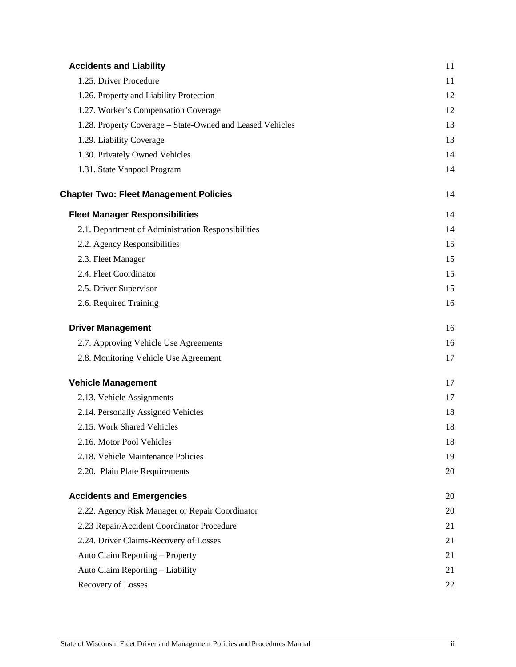| <b>Accidents and Liability</b>                            | 11 |
|-----------------------------------------------------------|----|
| 1.25. Driver Procedure                                    | 11 |
| 1.26. Property and Liability Protection                   | 12 |
| 1.27. Worker's Compensation Coverage                      | 12 |
| 1.28. Property Coverage - State-Owned and Leased Vehicles | 13 |
| 1.29. Liability Coverage                                  | 13 |
| 1.30. Privately Owned Vehicles                            | 14 |
| 1.31. State Vanpool Program                               | 14 |
| <b>Chapter Two: Fleet Management Policies</b>             | 14 |
| <b>Fleet Manager Responsibilities</b>                     | 14 |
| 2.1. Department of Administration Responsibilities        | 14 |
| 2.2. Agency Responsibilities                              | 15 |
| 2.3. Fleet Manager                                        | 15 |
| 2.4. Fleet Coordinator                                    | 15 |
| 2.5. Driver Supervisor                                    | 15 |
| 2.6. Required Training                                    | 16 |
| <b>Driver Management</b>                                  | 16 |
| 2.7. Approving Vehicle Use Agreements                     | 16 |
| 2.8. Monitoring Vehicle Use Agreement                     | 17 |
| <b>Vehicle Management</b>                                 | 17 |
| 2.13. Vehicle Assignments                                 | 17 |
| 2.14. Personally Assigned Vehicles                        | 18 |
| 2.15. Work Shared Vehicles                                | 18 |
| 2.16. Motor Pool Vehicles                                 | 18 |
| 2.18. Vehicle Maintenance Policies                        | 19 |
| 2.20. Plain Plate Requirements                            | 20 |
| <b>Accidents and Emergencies</b>                          | 20 |
| 2.22. Agency Risk Manager or Repair Coordinator           | 20 |
| 2.23 Repair/Accident Coordinator Procedure                | 21 |
| 2.24. Driver Claims-Recovery of Losses                    | 21 |
| Auto Claim Reporting - Property                           | 21 |
| Auto Claim Reporting - Liability                          | 21 |
| Recovery of Losses                                        | 22 |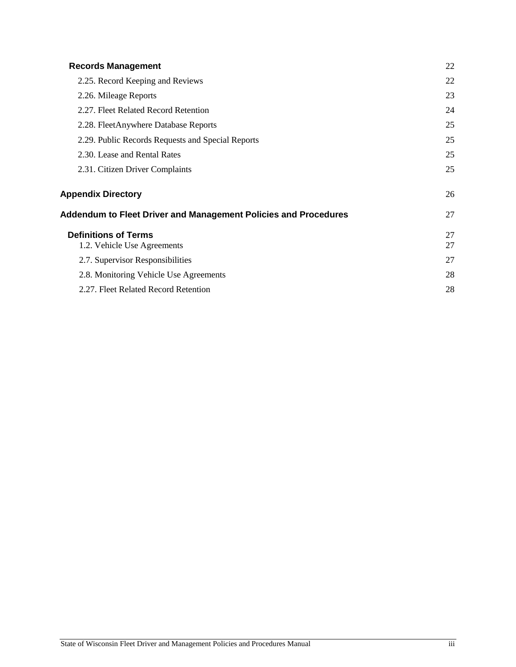| <b>Records Management</b>                                       |          |
|-----------------------------------------------------------------|----------|
| 2.25. Record Keeping and Reviews                                | 22       |
| 2.26. Mileage Reports                                           | 23       |
| 2.27. Fleet Related Record Retention                            | 24       |
| 2.28. FleetAnywhere Database Reports                            | 25       |
| 2.29. Public Records Requests and Special Reports               | 25       |
| 2.30. Lease and Rental Rates                                    | 25       |
| 2.31. Citizen Driver Complaints                                 | 25       |
| <b>Appendix Directory</b>                                       | 26       |
| Addendum to Fleet Driver and Management Policies and Procedures | 27       |
| <b>Definitions of Terms</b><br>1.2. Vehicle Use Agreements      | 27<br>27 |
| 2.7. Supervisor Responsibilities                                | 27       |
| 2.8. Monitoring Vehicle Use Agreements                          | 28       |
| 2.27. Fleet Related Record Retention                            | 28       |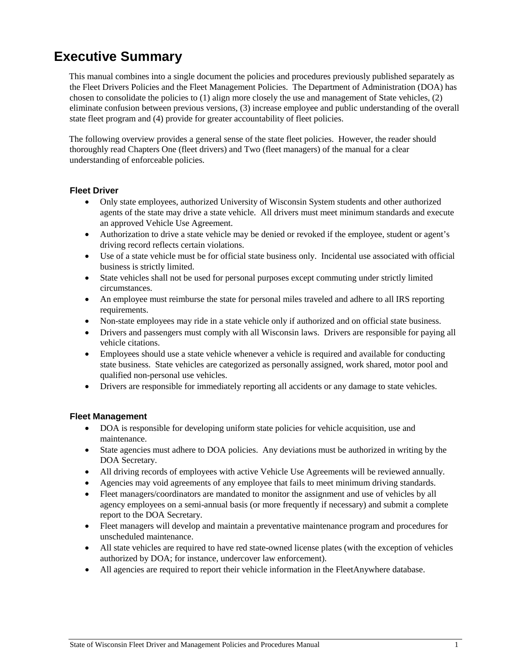## <span id="page-4-0"></span>**Executive Summary**

This manual combines into a single document the policies and procedures previously published separately as the Fleet Drivers Policies and the Fleet Management Policies. The Department of Administration (DOA) has chosen to consolidate the policies to (1) align more closely the use and management of State vehicles, (2) eliminate confusion between previous versions, (3) increase employee and public understanding of the overall state fleet program and (4) provide for greater accountability of fleet policies.

The following overview provides a general sense of the state fleet policies. However, the reader should thoroughly read Chapters One (fleet drivers) and Two (fleet managers) of the manual for a clear understanding of enforceable policies.

#### **Fleet Driver**

- Only state employees, authorized University of Wisconsin System students and other authorized agents of the state may drive a state vehicle. All drivers must meet minimum standards and execute an approved Vehicle Use Agreement.
- Authorization to drive a state vehicle may be denied or revoked if the employee, student or agent's driving record reflects certain violations.
- Use of a state vehicle must be for official state business only. Incidental use associated with official business is strictly limited.
- State vehicles shall not be used for personal purposes except commuting under strictly limited circumstances.
- An employee must reimburse the state for personal miles traveled and adhere to all IRS reporting requirements.
- Non-state employees may ride in a state vehicle only if authorized and on official state business.
- Drivers and passengers must comply with all Wisconsin laws. Drivers are responsible for paying all vehicle citations.
- Employees should use a state vehicle whenever a vehicle is required and available for conducting state business. State vehicles are categorized as personally assigned, work shared, motor pool and qualified non-personal use vehicles.
- Drivers are responsible for immediately reporting all accidents or any damage to state vehicles.

#### **Fleet Management**

- DOA is responsible for developing uniform state policies for vehicle acquisition, use and maintenance.
- State agencies must adhere to DOA policies. Any deviations must be authorized in writing by the DOA Secretary.
- All driving records of employees with active Vehicle Use Agreements will be reviewed annually.
- Agencies may void agreements of any employee that fails to meet minimum driving standards.
- Fleet managers/coordinators are mandated to monitor the assignment and use of vehicles by all agency employees on a semi-annual basis (or more frequently if necessary) and submit a complete report to the DOA Secretary.
- Fleet managers will develop and maintain a preventative maintenance program and procedures for unscheduled maintenance.
- All state vehicles are required to have red state-owned license plates (with the exception of vehicles authorized by DOA; for instance, undercover law enforcement).
- All agencies are required to report their vehicle information in the FleetAnywhere database.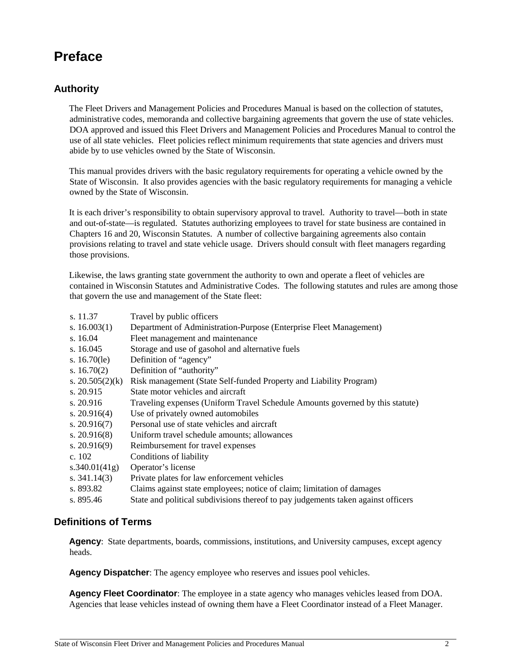## <span id="page-5-0"></span>**Preface**

#### <span id="page-5-1"></span>**Authority**

The Fleet Drivers and Management Policies and Procedures Manual is based on the collection of statutes, administrative codes, memoranda and collective bargaining agreements that govern the use of state vehicles. DOA approved and issued this Fleet Drivers and Management Policies and Procedures Manual to control the use of all state vehicles. Fleet policies reflect minimum requirements that state agencies and drivers must abide by to use vehicles owned by the State of Wisconsin.

This manual provides drivers with the basic regulatory requirements for operating a vehicle owned by the State of Wisconsin. It also provides agencies with the basic regulatory requirements for managing a vehicle owned by the State of Wisconsin.

It is each driver's responsibility to obtain supervisory approval to travel. Authority to travel—both in state and out-of-state—is regulated. Statutes authorizing employees to travel for state business are contained in Chapters 16 and 20, Wisconsin Statutes. A number of collective bargaining agreements also contain provisions relating to travel and state vehicle usage. Drivers should consult with fleet managers regarding those provisions.

Likewise, the laws granting state government the authority to own and operate a fleet of vehicles are contained in Wisconsin Statutes and Administrative Codes. The following statutes and rules are among those that govern the use and management of the State fleet:

| s. 11.37           | Travel by public officers                                                         |
|--------------------|-----------------------------------------------------------------------------------|
| s. $16.003(1)$     | Department of Administration-Purpose (Enterprise Fleet Management)                |
| s. $16.04$         | Fleet management and maintenance                                                  |
| s. $16.045$        | Storage and use of gasohol and alternative fuels                                  |
| s. $16.70$ (le)    | Definition of "agency"                                                            |
| s. $16.70(2)$      | Definition of "authority"                                                         |
| s. $20.505(2)$ (k) | Risk management (State Self-funded Property and Liability Program)                |
| s. 20.915          | State motor vehicles and aircraft                                                 |
| s. $20.916$        | Traveling expenses (Uniform Travel Schedule Amounts governed by this statute)     |
| s. $20.916(4)$     | Use of privately owned automobiles                                                |
| s. $20.916(7)$     | Personal use of state vehicles and aircraft                                       |
| s. $20.916(8)$     | Uniform travel schedule amounts; allowances                                       |
| s. $20.916(9)$     | Reimbursement for travel expenses                                                 |
| c. $102$           | Conditions of liability                                                           |
| s.340.01(41g)      | Operator's license                                                                |
| s. $341.14(3)$     | Private plates for law enforcement vehicles                                       |
| s. 893.82          | Claims against state employees; notice of claim; limitation of damages            |
| s. 895.46          | State and political subdivisions thereof to pay judgements taken against officers |

#### <span id="page-5-2"></span>**Definitions of Terms**

**Agency**: State departments, boards, commissions, institutions, and University campuses, except agency heads.

**Agency Dispatcher**: The agency employee who reserves and issues pool vehicles.

**Agency Fleet Coordinator**: The employee in a state agency who manages vehicles leased from DOA. Agencies that lease vehicles instead of owning them have a Fleet Coordinator instead of a Fleet Manager.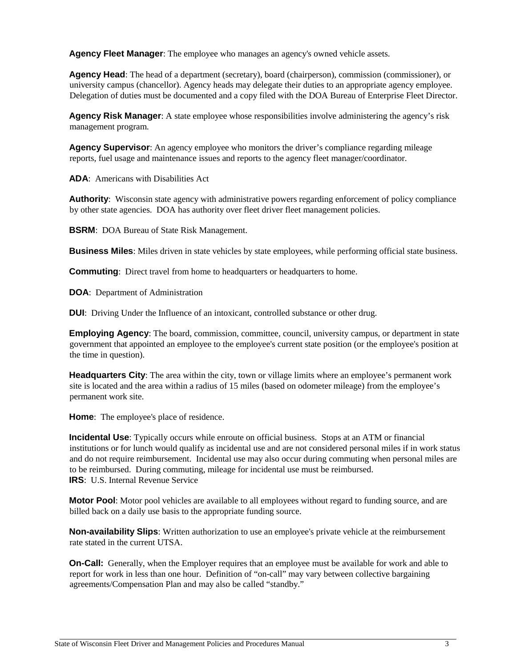**Agency Fleet Manager**: The employee who manages an agency's owned vehicle assets.

**Agency Head**: The head of a department (secretary), board (chairperson), commission (commissioner), or university campus (chancellor). Agency heads may delegate their duties to an appropriate agency employee. Delegation of duties must be documented and a copy filed with the DOA Bureau of Enterprise Fleet Director.

**Agency Risk Manager**: A state employee whose responsibilities involve administering the agency's risk management program.

**Agency Supervisor**: An agency employee who monitors the driver's compliance regarding mileage reports, fuel usage and maintenance issues and reports to the agency fleet manager/coordinator.

**ADA**: Americans with Disabilities Act

**Authority**: Wisconsin state agency with administrative powers regarding enforcement of policy compliance by other state agencies. DOA has authority over fleet driver fleet management policies.

**BSRM**: DOA Bureau of State Risk Management.

**Business Miles**: Miles driven in state vehicles by state employees, while performing official state business.

**Commuting**: Direct travel from home to headquarters or headquarters to home.

**DOA**: Department of Administration

**DUI:** Driving Under the Influence of an intoxicant, controlled substance or other drug.

**Employing Agency**: The board, commission, committee, council, university campus, or department in state government that appointed an employee to the employee's current state position (or the employee's position at the time in question).

**Headquarters City**: The area within the city, town or village limits where an employee's permanent work site is located and the area within a radius of 15 miles (based on odometer mileage) from the employee's permanent work site.

**Home**: The employee's place of residence.

**Incidental Use**: Typically occurs while enroute on official business. Stops at an ATM or financial institutions or for lunch would qualify as incidental use and are not considered personal miles if in work status and do not require reimbursement. Incidental use may also occur during commuting when personal miles are to be reimbursed. During commuting, mileage for incidental use must be reimbursed. **IRS**: U.S. Internal Revenue Service

**Motor Pool**: Motor pool vehicles are available to all employees without regard to funding source, and are billed back on a daily use basis to the appropriate funding source.

**Non-availability Slips**: Written authorization to use an employee's private vehicle at the reimbursement rate stated in the current UTSA.

**On-Call:** Generally, when the Employer requires that an employee must be available for work and able to report for work in less than one hour. Definition of "on-call" may vary between collective bargaining agreements/Compensation Plan and may also be called "standby."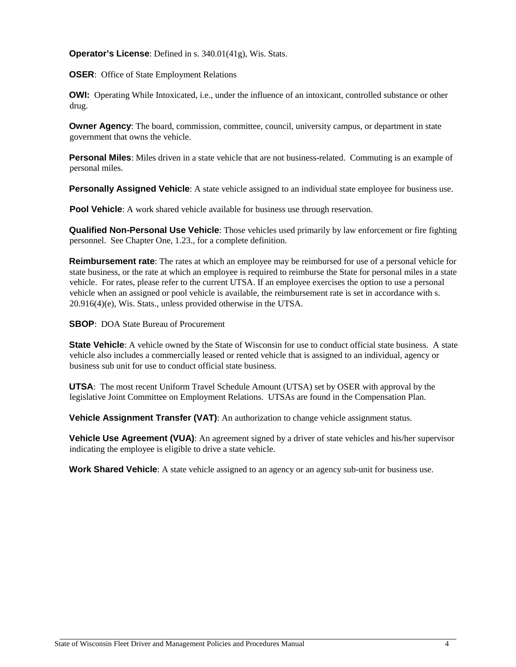**Operator's License**: Defined in s. 340.01(41g), Wis. Stats.

**OSER:** Office of State Employment Relations

**OWI:** Operating While Intoxicated, i.e., under the influence of an intoxicant, controlled substance or other drug.

**Owner Agency**: The board, commission, committee, council, university campus, or department in state government that owns the vehicle.

**Personal Miles**: Miles driven in a state vehicle that are not business-related. Commuting is an example of personal miles.

**Personally Assigned Vehicle**: A state vehicle assigned to an individual state employee for business use.

**Pool Vehicle**: A work shared vehicle available for business use through reservation.

**Qualified Non-Personal Use Vehicle**: Those vehicles used primarily by law enforcement or fire fighting personnel. See Chapter One, 1.23., for a complete definition.

**Reimbursement rate**: The rates at which an employee may be reimbursed for use of a personal vehicle for state business, or the rate at which an employee is required to reimburse the State for personal miles in a state vehicle. For rates, please refer to the current UTSA. If an employee exercises the option to use a personal vehicle when an assigned or pool vehicle is available, the reimbursement rate is set in accordance with s. 20.916(4)(e), Wis. Stats., unless provided otherwise in the UTSA.

**SBOP**: DOA State Bureau of Procurement

**State Vehicle**: A vehicle owned by the State of Wisconsin for use to conduct official state business. A state vehicle also includes a commercially leased or rented vehicle that is assigned to an individual, agency or business sub unit for use to conduct official state business.

**UTSA**: The most recent Uniform Travel Schedule Amount (UTSA) set by OSER with approval by the legislative Joint Committee on Employment Relations. UTSAs are found in the Compensation Plan.

**Vehicle Assignment Transfer (VAT)**: An authorization to change vehicle assignment status.

**Vehicle Use Agreement (VUA)**: An agreement signed by a driver of state vehicles and his/her supervisor indicating the employee is eligible to drive a state vehicle.

**Work Shared Vehicle**: A state vehicle assigned to an agency or an agency sub-unit for business use.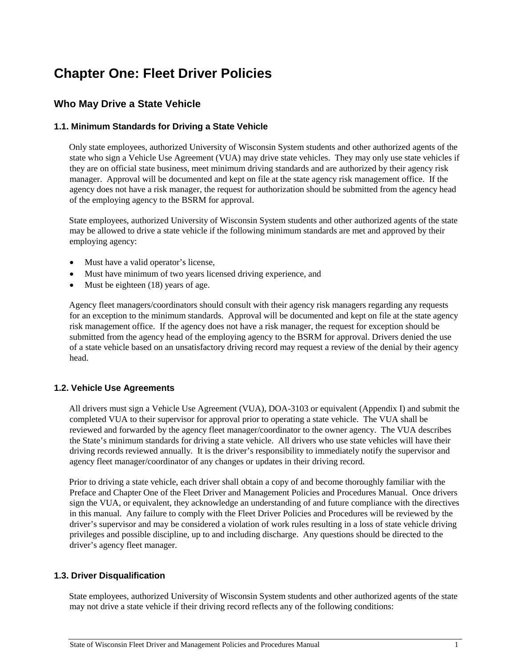## <span id="page-8-0"></span>**Chapter One: Fleet Driver Policies**

#### <span id="page-8-1"></span>**Who May Drive a State Vehicle**

#### <span id="page-8-2"></span>**1.1. Minimum Standards for Driving a State Vehicle**

Only state employees, authorized University of Wisconsin System students and other authorized agents of the state who sign a Vehicle Use Agreement (VUA) may drive state vehicles. They may only use state vehicles if they are on official state business, meet minimum driving standards and are authorized by their agency risk manager. Approval will be documented and kept on file at the state agency risk management office. If the agency does not have a risk manager, the request for authorization should be submitted from the agency head of the employing agency to the BSRM for approval.

State employees, authorized University of Wisconsin System students and other authorized agents of the state may be allowed to drive a state vehicle if the following minimum standards are met and approved by their employing agency:

- Must have a valid operator's license,
- Must have minimum of two years licensed driving experience, and
- Must be eighteen (18) years of age.

Agency fleet managers/coordinators should consult with their agency risk managers regarding any requests for an exception to the minimum standards. Approval will be documented and kept on file at the state agency risk management office. If the agency does not have a risk manager, the request for exception should be submitted from the agency head of the employing agency to the BSRM for approval. Drivers denied the use of a state vehicle based on an unsatisfactory driving record may request a review of the denial by their agency head.

#### <span id="page-8-3"></span>**1.2. Vehicle Use Agreements**

All drivers must sign a Vehicle Use Agreement (VUA), DOA-3103 or equivalent (Appendix I) and submit the completed VUA to their supervisor for approval prior to operating a state vehicle. The VUA shall be reviewed and forwarded by the agency fleet manager/coordinator to the owner agency. The VUA describes the State's minimum standards for driving a state vehicle. All drivers who use state vehicles will have their driving records reviewed annually. It is the driver's responsibility to immediately notify the supervisor and agency fleet manager/coordinator of any changes or updates in their driving record.

Prior to driving a state vehicle, each driver shall obtain a copy of and become thoroughly familiar with the Preface and Chapter One of the Fleet Driver and Management Policies and Procedures Manual. Once drivers sign the VUA, or equivalent, they acknowledge an understanding of and future compliance with the directives in this manual. Any failure to comply with the Fleet Driver Policies and Procedures will be reviewed by the driver's supervisor and may be considered a violation of work rules resulting in a loss of state vehicle driving privileges and possible discipline, up to and including discharge. Any questions should be directed to the driver's agency fleet manager.

#### <span id="page-8-4"></span>**1.3. Driver Disqualification**

State employees, authorized University of Wisconsin System students and other authorized agents of the state may not drive a state vehicle if their driving record reflects any of the following conditions: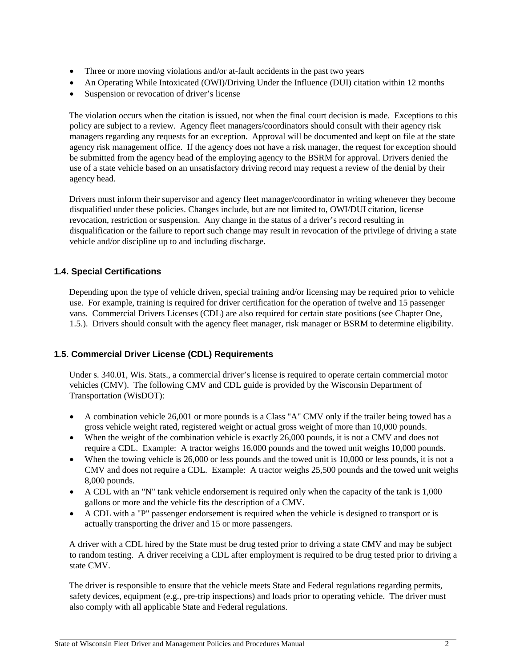- Three or more moving violations and/or at-fault accidents in the past two years
- An Operating While Intoxicated (OWI)/Driving Under the Influence (DUI) citation within 12 months
- Suspension or revocation of driver's license

The violation occurs when the citation is issued, not when the final court decision is made. Exceptions to this policy are subject to a review. Agency fleet managers/coordinators should consult with their agency risk managers regarding any requests for an exception. Approval will be documented and kept on file at the state agency risk management office. If the agency does not have a risk manager, the request for exception should be submitted from the agency head of the employing agency to the BSRM for approval. Drivers denied the use of a state vehicle based on an unsatisfactory driving record may request a review of the denial by their agency head.

Drivers must inform their supervisor and agency fleet manager/coordinator in writing whenever they become disqualified under these policies. Changes include, but are not limited to, OWI/DUI citation, license revocation, restriction or suspension. Any change in the status of a driver's record resulting in disqualification or the failure to report such change may result in revocation of the privilege of driving a state vehicle and/or discipline up to and including discharge.

#### <span id="page-9-0"></span>**1.4. Special Certifications**

Depending upon the type of vehicle driven, special training and/or licensing may be required prior to vehicle use. For example, training is required for driver certification for the operation of twelve and 15 passenger vans. Commercial Drivers Licenses (CDL) are also required for certain state positions (see Chapter One, 1.5.). Drivers should consult with the agency fleet manager, risk manager or BSRM to determine eligibility.

#### <span id="page-9-1"></span>**1.5. Commercial Driver License (CDL) Requirements**

Under s. 340.01, Wis. Stats., a commercial driver's license is required to operate certain commercial motor vehicles (CMV). The following CMV and CDL guide is provided by the Wisconsin Department of Transportation (WisDOT):

- A combination vehicle 26,001 or more pounds is a Class "A" CMV only if the trailer being towed has a gross vehicle weight rated, registered weight or actual gross weight of more than 10,000 pounds.
- When the weight of the combination vehicle is exactly 26,000 pounds, it is not a CMV and does not require a CDL. Example: A tractor weighs 16,000 pounds and the towed unit weighs 10,000 pounds.
- When the towing vehicle is 26,000 or less pounds and the towed unit is 10,000 or less pounds, it is not a CMV and does not require a CDL. Example: A tractor weighs 25,500 pounds and the towed unit weighs 8,000 pounds.
- A CDL with an "N" tank vehicle endorsement is required only when the capacity of the tank is 1,000 gallons or more and the vehicle fits the description of a CMV.
- A CDL with a "P" passenger endorsement is required when the vehicle is designed to transport or is actually transporting the driver and 15 or more passengers.

A driver with a CDL hired by the State must be drug tested prior to driving a state CMV and may be subject to random testing. A driver receiving a CDL after employment is required to be drug tested prior to driving a state CMV.

The driver is responsible to ensure that the vehicle meets State and Federal regulations regarding permits, safety devices, equipment (e.g., pre-trip inspections) and loads prior to operating vehicle. The driver must also comply with all applicable State and Federal regulations.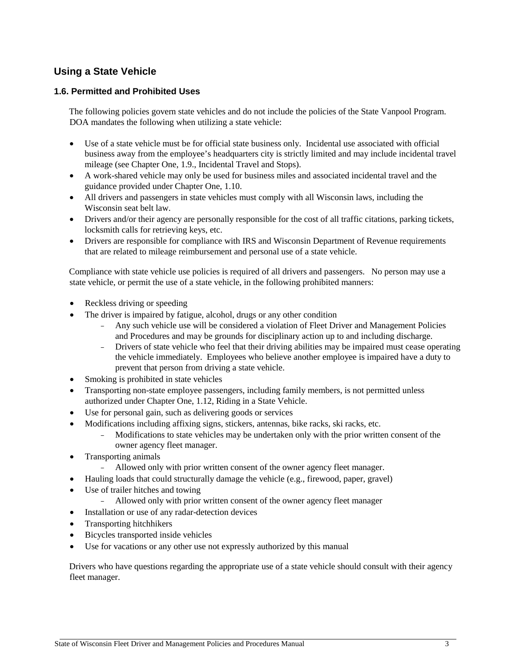### <span id="page-10-0"></span>**Using a State Vehicle**

#### <span id="page-10-1"></span>**1.6. Permitted and Prohibited Uses**

The following policies govern state vehicles and do not include the policies of the State Vanpool Program. DOA mandates the following when utilizing a state vehicle:

- Use of a state vehicle must be for official state business only. Incidental use associated with official business away from the employee's headquarters city is strictly limited and may include incidental travel mileage (see Chapter One, 1.9., Incidental Travel and Stops).
- A work-shared vehicle may only be used for business miles and associated incidental travel and the guidance provided under Chapter One, 1.10.
- All drivers and passengers in state vehicles must comply with all Wisconsin laws, including the Wisconsin seat belt law.
- Drivers and/or their agency are personally responsible for the cost of all traffic citations, parking tickets, locksmith calls for retrieving keys, etc.
- Drivers are responsible for compliance with IRS and Wisconsin Department of Revenue requirements that are related to mileage reimbursement and personal use of a state vehicle.

Compliance with state vehicle use policies is required of all drivers and passengers. No person may use a state vehicle, or permit the use of a state vehicle, in the following prohibited manners:

- Reckless driving or speeding
- The driver is impaired by fatigue, alcohol, drugs or any other condition
	- − Any such vehicle use will be considered a violation of Fleet Driver and Management Policies and Procedures and may be grounds for disciplinary action up to and including discharge.
	- − Drivers of state vehicle who feel that their driving abilities may be impaired must cease operating the vehicle immediately. Employees who believe another employee is impaired have a duty to prevent that person from driving a state vehicle.
- Smoking is prohibited in state vehicles
- Transporting non-state employee passengers, including family members, is not permitted unless authorized under Chapter One, 1.12, Riding in a State Vehicle.
- Use for personal gain, such as delivering goods or services
- Modifications including affixing signs, stickers, antennas, bike racks, ski racks, etc.
	- Modifications to state vehicles may be undertaken only with the prior written consent of the owner agency fleet manager.
- Transporting animals
	- Allowed only with prior written consent of the owner agency fleet manager.
- Hauling loads that could structurally damage the vehicle (e.g., firewood, paper, gravel)
- Use of trailer hitches and towing
	- Allowed only with prior written consent of the owner agency fleet manager
- Installation or use of any radar-detection devices
- Transporting hitchhikers
- Bicycles transported inside vehicles
- Use for vacations or any other use not expressly authorized by this manual

Drivers who have questions regarding the appropriate use of a state vehicle should consult with their agency fleet manager.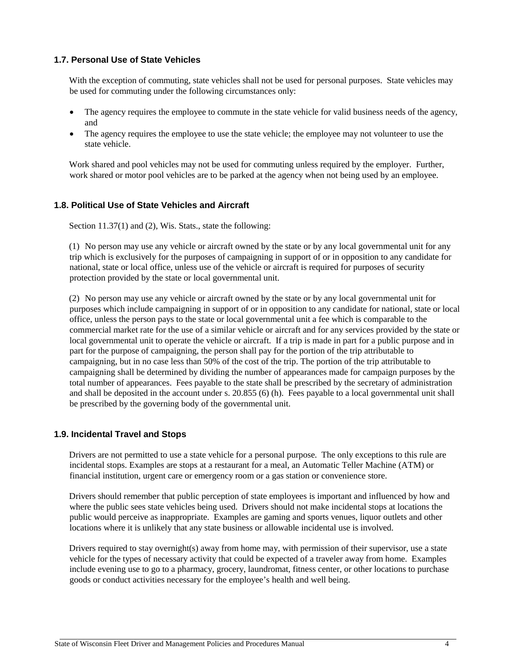#### <span id="page-11-0"></span>**1.7. Personal Use of State Vehicles**

With the exception of commuting, state vehicles shall not be used for personal purposes. State vehicles may be used for commuting under the following circumstances only:

- The agency requires the employee to commute in the state vehicle for valid business needs of the agency, and
- The agency requires the employee to use the state vehicle; the employee may not volunteer to use the state vehicle.

Work shared and pool vehicles may not be used for commuting unless required by the employer. Further, work shared or motor pool vehicles are to be parked at the agency when not being used by an employee.

#### <span id="page-11-1"></span>**1.8. Political Use of State Vehicles and Aircraft**

Section 11.37(1) and (2), Wis. Stats., state the following:

(1) No person may use any vehicle or aircraft owned by the state or by any local governmental unit for any trip which is exclusively for the purposes of campaigning in support of or in opposition to any candidate for national, state or local office, unless use of the vehicle or aircraft is required for purposes of security protection provided by the state or local governmental unit.

(2) No person may use any vehicle or aircraft owned by the state or by any local governmental unit for purposes which include campaigning in support of or in opposition to any candidate for national, state or local office, unless the person pays to the state or local governmental unit a fee which is comparable to the commercial market rate for the use of a similar vehicle or aircraft and for any services provided by the state or local governmental unit to operate the vehicle or aircraft. If a trip is made in part for a public purpose and in part for the purpose of campaigning, the person shall pay for the portion of the trip attributable to campaigning, but in no case less than 50% of the cost of the trip. The portion of the trip attributable to campaigning shall be determined by dividing the number of appearances made for campaign purposes by the total number of appearances. Fees payable to the state shall be prescribed by the secretary of administration and shall be deposited in the account under s. 20.855 (6) (h). Fees payable to a local governmental unit shall be prescribed by the governing body of the governmental unit.

#### <span id="page-11-2"></span>**1.9. Incidental Travel and Stops**

Drivers are not permitted to use a state vehicle for a personal purpose. The only exceptions to this rule are incidental stops. Examples are stops at a restaurant for a meal, an Automatic Teller Machine (ATM) or financial institution, urgent care or emergency room or a gas station or convenience store.

Drivers should remember that public perception of state employees is important and influenced by how and where the public sees state vehicles being used. Drivers should not make incidental stops at locations the public would perceive as inappropriate. Examples are gaming and sports venues, liquor outlets and other locations where it is unlikely that any state business or allowable incidental use is involved.

Drivers required to stay overnight(s) away from home may, with permission of their supervisor, use a state vehicle for the types of necessary activity that could be expected of a traveler away from home. Examples include evening use to go to a pharmacy, grocery, laundromat, fitness center, or other locations to purchase goods or conduct activities necessary for the employee's health and well being.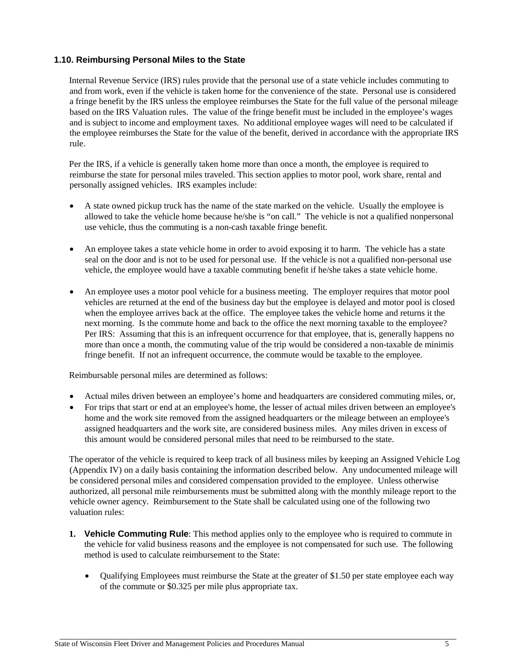#### <span id="page-12-0"></span>**1.10. Reimbursing Personal Miles to the State**

Internal Revenue Service (IRS) rules provide that the personal use of a state vehicle includes commuting to and from work, even if the vehicle is taken home for the convenience of the state. Personal use is considered a fringe benefit by the IRS unless the employee reimburses the State for the full value of the personal mileage based on the IRS Valuation rules. The value of the fringe benefit must be included in the employee's wages and is subject to income and employment taxes. No additional employee wages will need to be calculated if the employee reimburses the State for the value of the benefit, derived in accordance with the appropriate IRS rule.

Per the IRS, if a vehicle is generally taken home more than once a month, the employee is required to reimburse the state for personal miles traveled. This section applies to motor pool, work share, rental and personally assigned vehicles. IRS examples include:

- A state owned pickup truck has the name of the state marked on the vehicle. Usually the employee is allowed to take the vehicle home because he/she is "on call." The vehicle is not a qualified nonpersonal use vehicle, thus the commuting is a non-cash taxable fringe benefit.
- An employee takes a state vehicle home in order to avoid exposing it to harm. The vehicle has a state seal on the door and is not to be used for personal use. If the vehicle is not a qualified non-personal use vehicle, the employee would have a taxable commuting benefit if he/she takes a state vehicle home.
- An employee uses a motor pool vehicle for a business meeting. The employer requires that motor pool vehicles are returned at the end of the business day but the employee is delayed and motor pool is closed when the employee arrives back at the office. The employee takes the vehicle home and returns it the next morning. Is the commute home and back to the office the next morning taxable to the employee? Per IRS: Assuming that this is an infrequent occurrence for that employee, that is, generally happens no more than once a month, the commuting value of the trip would be considered a non-taxable de minimis fringe benefit. If not an infrequent occurrence, the commute would be taxable to the employee.

Reimbursable personal miles are determined as follows:

- Actual miles driven between an employee's home and headquarters are considered commuting miles, or,
- For trips that start or end at an employee's home, the lesser of actual miles driven between an employee's home and the work site removed from the assigned headquarters or the mileage between an employee's assigned headquarters and the work site, are considered business miles. Any miles driven in excess of this amount would be considered personal miles that need to be reimbursed to the state.

The operator of the vehicle is required to keep track of all business miles by keeping an Assigned Vehicle Log (Appendix IV) on a daily basis containing the information described below. Any undocumented mileage will be considered personal miles and considered compensation provided to the employee. Unless otherwise authorized, all personal mile reimbursements must be submitted along with the monthly mileage report to the vehicle owner agency. Reimbursement to the State shall be calculated using one of the following two valuation rules:

- **1. Vehicle Commuting Rule**: This method applies only to the employee who is required to commute in the vehicle for valid business reasons and the employee is not compensated for such use. The following method is used to calculate reimbursement to the State:
	- Qualifying Employees must reimburse the State at the greater of \$1.50 per state employee each way of the commute or \$0.325 per mile plus appropriate tax.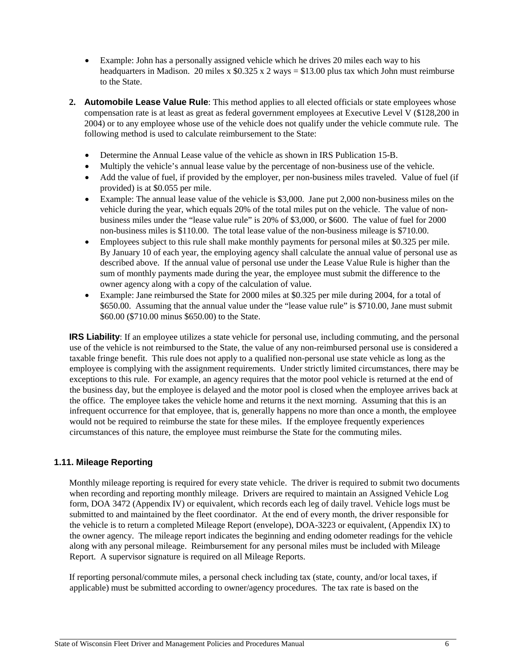- Example: John has a personally assigned vehicle which he drives 20 miles each way to his headquarters in Madison. 20 miles x  $$0.325 \times 2$  ways = \$13.00 plus tax which John must reimburse to the State.
- **2. Automobile Lease Value Rule**: This method applies to all elected officials or state employees whose compensation rate is at least as great as federal government employees at Executive Level V (\$128,200 in 2004) or to any employee whose use of the vehicle does not qualify under the vehicle commute rule. The following method is used to calculate reimbursement to the State:
	- Determine the Annual Lease value of the vehicle as shown in IRS Publication 15-B.
	- Multiply the vehicle's annual lease value by the percentage of non-business use of the vehicle.
	- Add the value of fuel, if provided by the employer, per non-business miles traveled. Value of fuel (if provided) is at \$0.055 per mile.
	- Example: The annual lease value of the vehicle is \$3,000. Jane put 2,000 non-business miles on the vehicle during the year, which equals 20% of the total miles put on the vehicle. The value of nonbusiness miles under the "lease value rule" is 20% of \$3,000, or \$600. The value of fuel for 2000 non-business miles is \$110.00. The total lease value of the non-business mileage is \$710.00.
	- Employees subject to this rule shall make monthly payments for personal miles at \$0.325 per mile. By January 10 of each year, the employing agency shall calculate the annual value of personal use as described above. If the annual value of personal use under the Lease Value Rule is higher than the sum of monthly payments made during the year, the employee must submit the difference to the owner agency along with a copy of the calculation of value.
	- Example: Jane reimbursed the State for 2000 miles at \$0.325 per mile during 2004, for a total of \$650.00. Assuming that the annual value under the "lease value rule" is \$710.00, Jane must submit \$60.00 (\$710.00 minus \$650.00) to the State.

**IRS Liability**: If an employee utilizes a state vehicle for personal use, including commuting, and the personal use of the vehicle is not reimbursed to the State, the value of any non-reimbursed personal use is considered a taxable fringe benefit. This rule does not apply to a qualified non-personal use state vehicle as long as the employee is complying with the assignment requirements. Under strictly limited circumstances, there may be exceptions to this rule. For example, an agency requires that the motor pool vehicle is returned at the end of the business day, but the employee is delayed and the motor pool is closed when the employee arrives back at the office. The employee takes the vehicle home and returns it the next morning. Assuming that this is an infrequent occurrence for that employee, that is, generally happens no more than once a month, the employee would not be required to reimburse the state for these miles. If the employee frequently experiences circumstances of this nature, the employee must reimburse the State for the commuting miles.

#### <span id="page-13-0"></span>**1.11. Mileage Reporting**

Monthly mileage reporting is required for every state vehicle. The driver is required to submit two documents when recording and reporting monthly mileage. Drivers are required to maintain an Assigned Vehicle Log form, DOA 3472 (Appendix IV) or equivalent, which records each leg of daily travel. Vehicle logs must be submitted to and maintained by the fleet coordinator. At the end of every month, the driver responsible for the vehicle is to return a completed Mileage Report (envelope), DOA-3223 or equivalent, (Appendix IX) to the owner agency. The mileage report indicates the beginning and ending odometer readings for the vehicle along with any personal mileage. Reimbursement for any personal miles must be included with Mileage Report. A supervisor signature is required on all Mileage Reports.

If reporting personal/commute miles, a personal check including tax (state, county, and/or local taxes, if applicable) must be submitted according to owner/agency procedures. The tax rate is based on the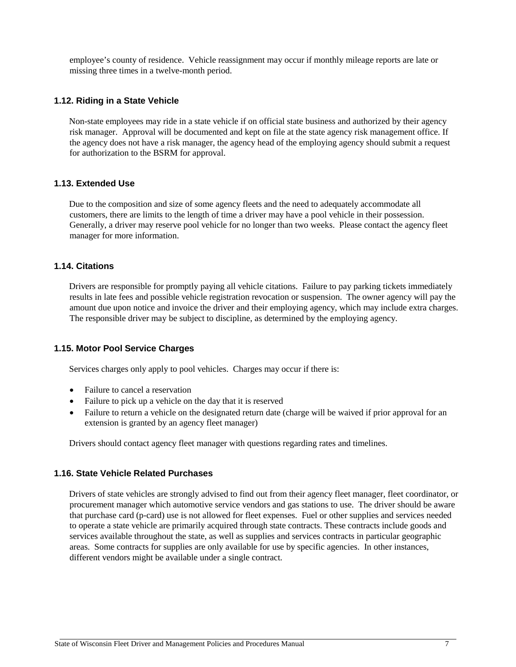employee's county of residence. Vehicle reassignment may occur if monthly mileage reports are late or missing three times in a twelve-month period.

#### <span id="page-14-0"></span>**1.12. Riding in a State Vehicle**

Non-state employees may ride in a state vehicle if on official state business and authorized by their agency risk manager. Approval will be documented and kept on file at the state agency risk management office. If the agency does not have a risk manager, the agency head of the employing agency should submit a request for authorization to the BSRM for approval.

#### <span id="page-14-1"></span>**1.13. Extended Use**

Due to the composition and size of some agency fleets and the need to adequately accommodate all customers, there are limits to the length of time a driver may have a pool vehicle in their possession. Generally, a driver may reserve pool vehicle for no longer than two weeks. Please contact the agency fleet manager for more information.

#### <span id="page-14-2"></span>**1.14. Citations**

Drivers are responsible for promptly paying all vehicle citations. Failure to pay parking tickets immediately results in late fees and possible vehicle registration revocation or suspension. The owner agency will pay the amount due upon notice and invoice the driver and their employing agency, which may include extra charges. The responsible driver may be subject to discipline, as determined by the employing agency.

#### <span id="page-14-3"></span>**1.15. Motor Pool Service Charges**

Services charges only apply to pool vehicles. Charges may occur if there is:

- Failure to cancel a reservation
- Failure to pick up a vehicle on the day that it is reserved
- Failure to return a vehicle on the designated return date (charge will be waived if prior approval for an extension is granted by an agency fleet manager)

Drivers should contact agency fleet manager with questions regarding rates and timelines.

#### <span id="page-14-4"></span>**1.16. State Vehicle Related Purchases**

Drivers of state vehicles are strongly advised to find out from their agency fleet manager, fleet coordinator, or procurement manager which automotive service vendors and gas stations to use. The driver should be aware that purchase card (p-card) use is not allowed for fleet expenses. Fuel or other supplies and services needed to operate a state vehicle are primarily acquired through state contracts. These contracts include goods and services available throughout the state, as well as supplies and services contracts in particular geographic areas. Some contracts for supplies are only available for use by specific agencies. In other instances, different vendors might be available under a single contract.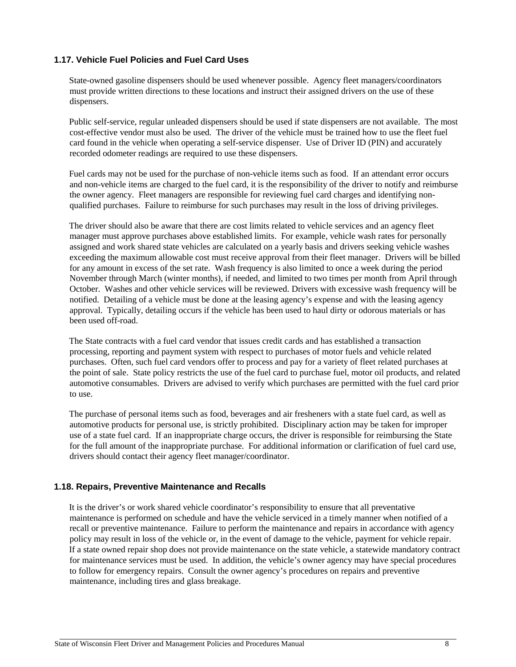#### <span id="page-15-0"></span>**1.17. Vehicle Fuel Policies and Fuel Card Uses**

State-owned gasoline dispensers should be used whenever possible. Agency fleet managers/coordinators must provide written directions to these locations and instruct their assigned drivers on the use of these dispensers.

Public self-service, regular unleaded dispensers should be used if state dispensers are not available. The most cost-effective vendor must also be used. The driver of the vehicle must be trained how to use the fleet fuel card found in the vehicle when operating a self-service dispenser. Use of Driver ID (PIN) and accurately recorded odometer readings are required to use these dispensers.

Fuel cards may not be used for the purchase of non-vehicle items such as food. If an attendant error occurs and non-vehicle items are charged to the fuel card, it is the responsibility of the driver to notify and reimburse the owner agency. Fleet managers are responsible for reviewing fuel card charges and identifying nonqualified purchases. Failure to reimburse for such purchases may result in the loss of driving privileges.

The driver should also be aware that there are cost limits related to vehicle services and an agency fleet manager must approve purchases above established limits. For example, vehicle wash rates for personally assigned and work shared state vehicles are calculated on a yearly basis and drivers seeking vehicle washes exceeding the maximum allowable cost must receive approval from their fleet manager. Drivers will be billed for any amount in excess of the set rate. Wash frequency is also limited to once a week during the period November through March (winter months), if needed, and limited to two times per month from April through October. Washes and other vehicle services will be reviewed. Drivers with excessive wash frequency will be notified. Detailing of a vehicle must be done at the leasing agency's expense and with the leasing agency approval. Typically, detailing occurs if the vehicle has been used to haul dirty or odorous materials or has been used off-road.

The State contracts with a fuel card vendor that issues credit cards and has established a transaction processing, reporting and payment system with respect to purchases of motor fuels and vehicle related purchases. Often, such fuel card vendors offer to process and pay for a variety of fleet related purchases at the point of sale. State policy restricts the use of the fuel card to purchase fuel, motor oil products, and related automotive consumables. Drivers are advised to verify which purchases are permitted with the fuel card prior to use.

The purchase of personal items such as food, beverages and air fresheners with a state fuel card, as well as automotive products for personal use, is strictly prohibited. Disciplinary action may be taken for improper use of a state fuel card. If an inappropriate charge occurs, the driver is responsible for reimbursing the State for the full amount of the inappropriate purchase. For additional information or clarification of fuel card use, drivers should contact their agency fleet manager/coordinator.

#### <span id="page-15-1"></span>**1.18. Repairs, Preventive Maintenance and Recalls**

It is the driver's or work shared vehicle coordinator's responsibility to ensure that all preventative maintenance is performed on schedule and have the vehicle serviced in a timely manner when notified of a recall or preventive maintenance. Failure to perform the maintenance and repairs in accordance with agency policy may result in loss of the vehicle or, in the event of damage to the vehicle, payment for vehicle repair. If a state owned repair shop does not provide maintenance on the state vehicle, a statewide mandatory contract for maintenance services must be used. In addition, the vehicle's owner agency may have special procedures to follow for emergency repairs. Consult the owner agency's procedures on repairs and preventive maintenance, including tires and glass breakage.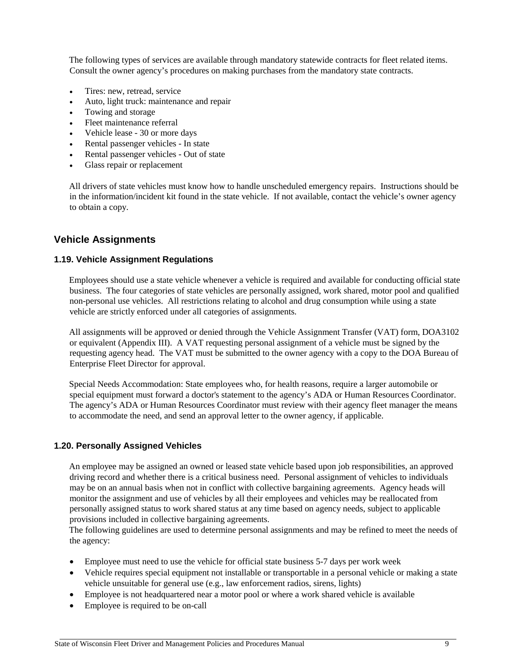The following types of services are available through mandatory statewide contracts for fleet related items. Consult the owner agency's procedures on making purchases from the mandatory state contracts.

- Tires: new, retread, service
- Auto, light truck: maintenance and repair
- Towing and storage
- Fleet maintenance referral
- Vehicle lease 30 or more days
- Rental passenger vehicles In state
- Rental passenger vehicles Out of state
- Glass repair or replacement

All drivers of state vehicles must know how to handle unscheduled emergency repairs. Instructions should be in the information/incident kit found in the state vehicle. If not available, contact the vehicle's owner agency to obtain a copy.

#### <span id="page-16-0"></span>**Vehicle Assignments**

#### <span id="page-16-1"></span>**1.19. Vehicle Assignment Regulations**

Employees should use a state vehicle whenever a vehicle is required and available for conducting official state business. The four categories of state vehicles are personally assigned, work shared, motor pool and qualified non-personal use vehicles. All restrictions relating to alcohol and drug consumption while using a state vehicle are strictly enforced under all categories of assignments.

All assignments will be approved or denied through the Vehicle Assignment Transfer (VAT) form, DOA3102 or equivalent (Appendix III). A VAT requesting personal assignment of a vehicle must be signed by the requesting agency head. The VAT must be submitted to the owner agency with a copy to the DOA Bureau of Enterprise Fleet Director for approval.

Special Needs Accommodation: State employees who, for health reasons, require a larger automobile or special equipment must forward a doctor's statement to the agency's ADA or Human Resources Coordinator. The agency's ADA or Human Resources Coordinator must review with their agency fleet manager the means to accommodate the need, and send an approval letter to the owner agency, if applicable.

#### <span id="page-16-2"></span>**1.20. Personally Assigned Vehicles**

An employee may be assigned an owned or leased state vehicle based upon job responsibilities, an approved driving record and whether there is a critical business need. Personal assignment of vehicles to individuals may be on an annual basis when not in conflict with collective bargaining agreements. Agency heads will monitor the assignment and use of vehicles by all their employees and vehicles may be reallocated from personally assigned status to work shared status at any time based on agency needs, subject to applicable provisions included in collective bargaining agreements.

The following guidelines are used to determine personal assignments and may be refined to meet the needs of the agency:

- Employee must need to use the vehicle for official state business 5-7 days per work week
- Vehicle requires special equipment not installable or transportable in a personal vehicle or making a state vehicle unsuitable for general use (e.g., law enforcement radios, sirens, lights)
- Employee is not headquartered near a motor pool or where a work shared vehicle is available
- Employee is required to be on-call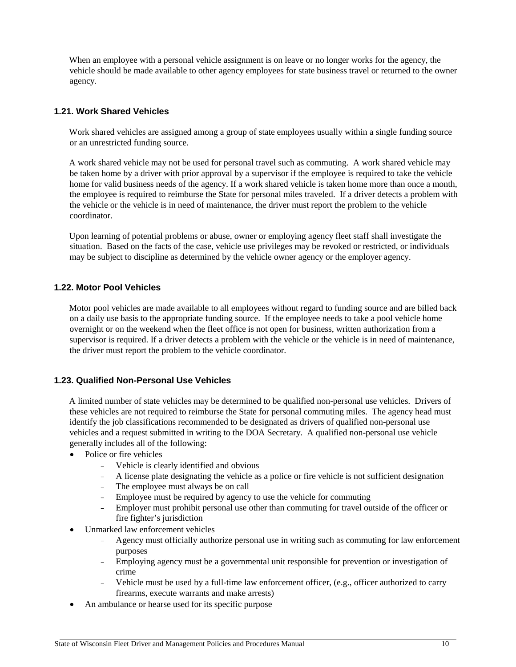When an employee with a personal vehicle assignment is on leave or no longer works for the agency, the vehicle should be made available to other agency employees for state business travel or returned to the owner agency.

#### <span id="page-17-0"></span>**1.21. Work Shared Vehicles**

Work shared vehicles are assigned among a group of state employees usually within a single funding source or an unrestricted funding source.

A work shared vehicle may not be used for personal travel such as commuting. A work shared vehicle may be taken home by a driver with prior approval by a supervisor if the employee is required to take the vehicle home for valid business needs of the agency. If a work shared vehicle is taken home more than once a month, the employee is required to reimburse the State for personal miles traveled. If a driver detects a problem with the vehicle or the vehicle is in need of maintenance, the driver must report the problem to the vehicle coordinator.

Upon learning of potential problems or abuse, owner or employing agency fleet staff shall investigate the situation. Based on the facts of the case, vehicle use privileges may be revoked or restricted, or individuals may be subject to discipline as determined by the vehicle owner agency or the employer agency.

#### <span id="page-17-1"></span>**1.22. Motor Pool Vehicles**

Motor pool vehicles are made available to all employees without regard to funding source and are billed back on a daily use basis to the appropriate funding source. If the employee needs to take a pool vehicle home overnight or on the weekend when the fleet office is not open for business, written authorization from a supervisor is required. If a driver detects a problem with the vehicle or the vehicle is in need of maintenance, the driver must report the problem to the vehicle coordinator.

#### <span id="page-17-2"></span>**1.23. Qualified Non-Personal Use Vehicles**

A limited number of state vehicles may be determined to be qualified non-personal use vehicles. Drivers of these vehicles are not required to reimburse the State for personal commuting miles. The agency head must identify the job classifications recommended to be designated as drivers of qualified non-personal use vehicles and a request submitted in writing to the DOA Secretary. A qualified non-personal use vehicle generally includes all of the following:

- Police or fire vehicles
	- − Vehicle is clearly identified and obvious
	- A license plate designating the vehicle as a police or fire vehicle is not sufficient designation
	- The employee must always be on call
	- Employee must be required by agency to use the vehicle for commuting
	- Employer must prohibit personal use other than commuting for travel outside of the officer or fire fighter's jurisdiction
- Unmarked law enforcement vehicles
	- − Agency must officially authorize personal use in writing such as commuting for law enforcement purposes
	- − Employing agency must be a governmental unit responsible for prevention or investigation of crime
	- − Vehicle must be used by a full-time law enforcement officer, (e.g., officer authorized to carry firearms, execute warrants and make arrests)
- An ambulance or hearse used for its specific purpose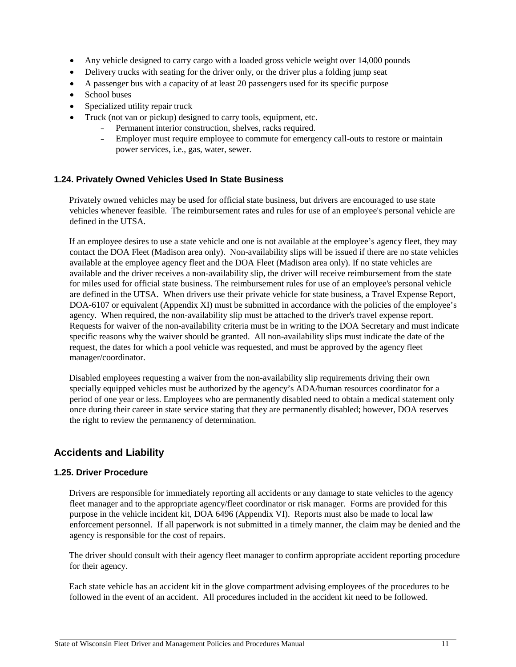- Any vehicle designed to carry cargo with a loaded gross vehicle weight over 14,000 pounds
- Delivery trucks with seating for the driver only, or the driver plus a folding jump seat
- A passenger bus with a capacity of at least 20 passengers used for its specific purpose
- School buses
- Specialized utility repair truck
- Truck (not van or pickup) designed to carry tools, equipment, etc.
	- Permanent interior construction, shelves, racks required.
	- Employer must require employee to commute for emergency call-outs to restore or maintain power services, i.e., gas, water, sewer.

#### <span id="page-18-0"></span>**1.24. Privately Owned Vehicles Used In State Business**

Privately owned vehicles may be used for official state business, but drivers are encouraged to use state vehicles whenever feasible. The reimbursement rates and rules for use of an employee's personal vehicle are defined in the UTSA.

If an employee desires to use a state vehicle and one is not available at the employee's agency fleet, they may contact the DOA Fleet (Madison area only). Non-availability slips will be issued if there are no state vehicles available at the employee agency fleet and the DOA Fleet (Madison area only). If no state vehicles are available and the driver receives a non-availability slip, the driver will receive reimbursement from the state for miles used for official state business. The reimbursement rules for use of an employee's personal vehicle are defined in the UTSA. When drivers use their private vehicle for state business, a Travel Expense Report, DOA-6107 or equivalent (Appendix XI) must be submitted in accordance with the policies of the employee's agency. When required, the non-availability slip must be attached to the driver's travel expense report. Requests for waiver of the non-availability criteria must be in writing to the DOA Secretary and must indicate specific reasons why the waiver should be granted. All non-availability slips must indicate the date of the request, the dates for which a pool vehicle was requested, and must be approved by the agency fleet manager/coordinator.

Disabled employees requesting a waiver from the non-availability slip requirements driving their own specially equipped vehicles must be authorized by the agency's ADA/human resources coordinator for a period of one year or less. Employees who are permanently disabled need to obtain a medical statement only once during their career in state service stating that they are permanently disabled; however, DOA reserves the right to review the permanency of determination.

#### <span id="page-18-1"></span>**Accidents and Liability**

#### <span id="page-18-2"></span>**1.25. Driver Procedure**

Drivers are responsible for immediately reporting all accidents or any damage to state vehicles to the agency fleet manager and to the appropriate agency/fleet coordinator or risk manager. Forms are provided for this purpose in the vehicle incident kit, DOA 6496 (Appendix VI). Reports must also be made to local law enforcement personnel. If all paperwork is not submitted in a timely manner, the claim may be denied and the agency is responsible for the cost of repairs.

The driver should consult with their agency fleet manager to confirm appropriate accident reporting procedure for their agency.

Each state vehicle has an accident kit in the glove compartment advising employees of the procedures to be followed in the event of an accident. All procedures included in the accident kit need to be followed.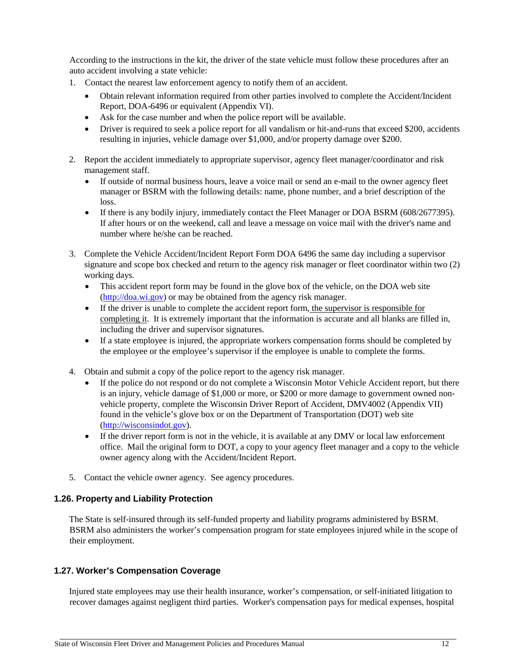According to the instructions in the kit, the driver of the state vehicle must follow these procedures after an auto accident involving a state vehicle:

- 1. Contact the nearest law enforcement agency to notify them of an accident.
	- Obtain relevant information required from other parties involved to complete the Accident/Incident Report, DOA-6496 or equivalent (Appendix VI).
	- Ask for the case number and when the police report will be available.
	- Driver is required to seek a police report for all vandalism or hit-and-runs that exceed \$200, accidents resulting in injuries, vehicle damage over \$1,000, and/or property damage over \$200.
- 2. Report the accident immediately to appropriate supervisor, agency fleet manager/coordinator and risk management staff.
	- If outside of normal business hours, leave a voice mail or send an e-mail to the owner agency fleet manager or BSRM with the following details: name, phone number, and a brief description of the loss.
	- If there is any bodily injury, immediately contact the Fleet Manager or DOA BSRM (608/2677395). If after hours or on the weekend, call and leave a message on voice mail with the driver's name and number where he/she can be reached.
- 3. Complete the Vehicle Accident/Incident Report Form DOA 6496 the same day including a supervisor signature and scope box checked and return to the agency risk manager or fleet coordinator within two (2) working days.
	- This accident report form may be found in the glove box of the vehicle, on the DOA web site [\(http://doa.wi.gov\)](http://www.doa.state.wi.us/) or may be obtained from the agency risk manager.
	- If the driver is unable to complete the accident report form, the supervisor is responsible for completing it. It is extremely important that the information is accurate and all blanks are filled in, including the driver and supervisor signatures.
	- If a state employee is injured, the appropriate workers compensation forms should be completed by the employee or the employee's supervisor if the employee is unable to complete the forms.
- 4. Obtain and submit a copy of the police report to the agency risk manager.
	- If the police do not respond or do not complete a Wisconsin Motor Vehicle Accident report, but there is an injury, vehicle damage of \$1,000 or more, or \$200 or more damage to government owned nonvehicle property, complete the Wisconsin Driver Report of Accident, DMV4002 (Appendix VII) found in the vehicle's glove box or on the Department of Transportation (DOT) web site [\(http://wisconsindot.gov\)](http://wisconsindot.gov/).
	- If the driver report form is not in the vehicle, it is available at any DMV or local law enforcement office. Mail the original form to DOT, a copy to your agency fleet manager and a copy to the vehicle owner agency along with the Accident/Incident Report.
- 5. Contact the vehicle owner agency. See agency procedures.

#### <span id="page-19-0"></span>**1.26. Property and Liability Protection**

The State is self-insured through its self-funded property and liability programs administered by BSRM. BSRM also administers the worker's compensation program for state employees injured while in the scope of their employment.

#### <span id="page-19-1"></span>**1.27. Worker's Compensation Coverage**

Injured state employees may use their health insurance, worker's compensation, or self-initiated litigation to recover damages against negligent third parties. Worker's compensation pays for medical expenses, hospital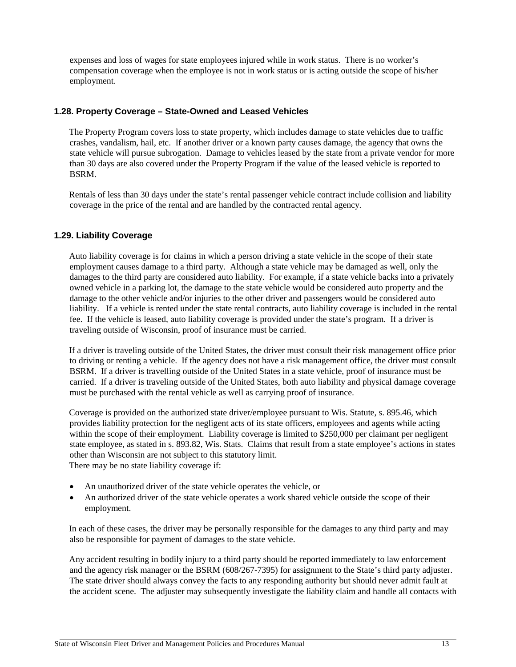expenses and loss of wages for state employees injured while in work status. There is no worker's compensation coverage when the employee is not in work status or is acting outside the scope of his/her employment.

#### <span id="page-20-0"></span>**1.28. Property Coverage – State-Owned and Leased Vehicles**

The Property Program covers loss to state property, which includes damage to state vehicles due to traffic crashes, vandalism, hail, etc. If another driver or a known party causes damage, the agency that owns the state vehicle will pursue subrogation. Damage to vehicles leased by the state from a private vendor for more than 30 days are also covered under the Property Program if the value of the leased vehicle is reported to BSRM.

Rentals of less than 30 days under the state's rental passenger vehicle contract include collision and liability coverage in the price of the rental and are handled by the contracted rental agency.

#### <span id="page-20-1"></span>**1.29. Liability Coverage**

Auto liability coverage is for claims in which a person driving a state vehicle in the scope of their state employment causes damage to a third party. Although a state vehicle may be damaged as well, only the damages to the third party are considered auto liability. For example, if a state vehicle backs into a privately owned vehicle in a parking lot, the damage to the state vehicle would be considered auto property and the damage to the other vehicle and/or injuries to the other driver and passengers would be considered auto liability. If a vehicle is rented under the state rental contracts, auto liability coverage is included in the rental fee. If the vehicle is leased, auto liability coverage is provided under the state's program. If a driver is traveling outside of Wisconsin, proof of insurance must be carried.

If a driver is traveling outside of the United States, the driver must consult their risk management office prior to driving or renting a vehicle. If the agency does not have a risk management office, the driver must consult BSRM. If a driver is travelling outside of the United States in a state vehicle, proof of insurance must be carried. If a driver is traveling outside of the United States, both auto liability and physical damage coverage must be purchased with the rental vehicle as well as carrying proof of insurance.

Coverage is provided on the authorized state driver/employee pursuant to Wis. Statute, s. 895.46, which provides liability protection for the negligent acts of its state officers, employees and agents while acting within the scope of their employment. Liability coverage is limited to \$250,000 per claimant per negligent state employee, as stated in s. 893.82, Wis. Stats. Claims that result from a state employee's actions in states other than Wisconsin are not subject to this statutory limit. There may be no state liability coverage if:

- An unauthorized driver of the state vehicle operates the vehicle, or
- An authorized driver of the state vehicle operates a work shared vehicle outside the scope of their employment.

In each of these cases, the driver may be personally responsible for the damages to any third party and may also be responsible for payment of damages to the state vehicle.

Any accident resulting in bodily injury to a third party should be reported immediately to law enforcement and the agency risk manager or the BSRM (608/267-7395) for assignment to the State's third party adjuster. The state driver should always convey the facts to any responding authority but should never admit fault at the accident scene. The adjuster may subsequently investigate the liability claim and handle all contacts with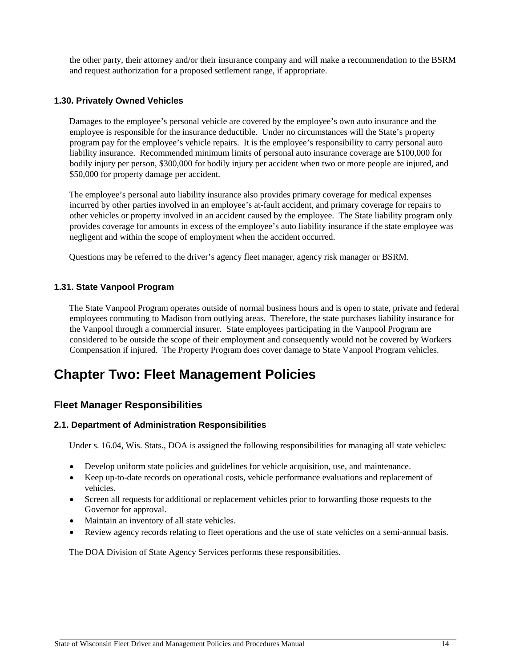the other party, their attorney and/or their insurance company and will make a recommendation to the BSRM and request authorization for a proposed settlement range, if appropriate.

#### <span id="page-21-0"></span>**1.30. Privately Owned Vehicles**

Damages to the employee's personal vehicle are covered by the employee's own auto insurance and the employee is responsible for the insurance deductible. Under no circumstances will the State's property program pay for the employee's vehicle repairs. It is the employee's responsibility to carry personal auto liability insurance. Recommended minimum limits of personal auto insurance coverage are \$100,000 for bodily injury per person, \$300,000 for bodily injury per accident when two or more people are injured, and \$50,000 for property damage per accident.

The employee's personal auto liability insurance also provides primary coverage for medical expenses incurred by other parties involved in an employee's at-fault accident, and primary coverage for repairs to other vehicles or property involved in an accident caused by the employee. The State liability program only provides coverage for amounts in excess of the employee's auto liability insurance if the state employee was negligent and within the scope of employment when the accident occurred.

Questions may be referred to the driver's agency fleet manager, agency risk manager or BSRM.

#### <span id="page-21-1"></span>**1.31. State Vanpool Program**

The State Vanpool Program operates outside of normal business hours and is open to state, private and federal employees commuting to Madison from outlying areas. Therefore, the state purchases liability insurance for the Vanpool through a commercial insurer. State employees participating in the Vanpool Program are considered to be outside the scope of their employment and consequently would not be covered by Workers Compensation if injured. The Property Program does cover damage to State Vanpool Program vehicles.

### <span id="page-21-2"></span>**Chapter Two: Fleet Management Policies**

#### <span id="page-21-3"></span>**Fleet Manager Responsibilities**

#### <span id="page-21-4"></span>**2.1. Department of Administration Responsibilities**

Under s. 16.04, Wis. Stats., DOA is assigned the following responsibilities for managing all state vehicles:

- Develop uniform state policies and guidelines for vehicle acquisition, use, and maintenance.
- Keep up-to-date records on operational costs, vehicle performance evaluations and replacement of vehicles.
- Screen all requests for additional or replacement vehicles prior to forwarding those requests to the Governor for approval.
- Maintain an inventory of all state vehicles.
- Review agency records relating to fleet operations and the use of state vehicles on a semi-annual basis.

The DOA Division of State Agency Services performs these responsibilities.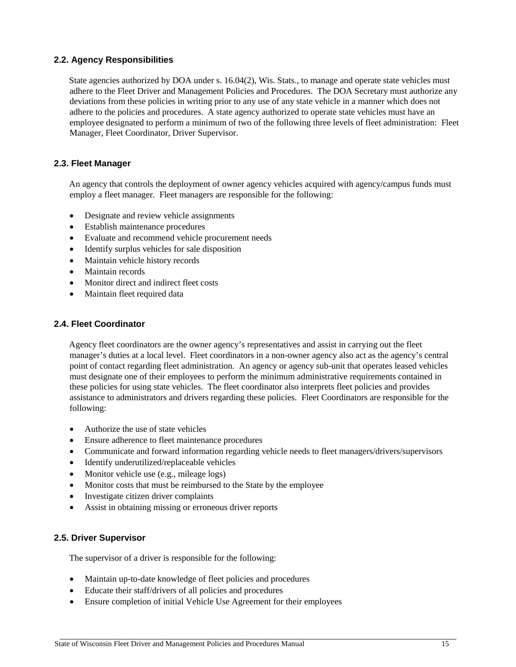#### <span id="page-22-0"></span>**2.2. Agency Responsibilities**

State agencies authorized by DOA under s. 16.04(2), Wis. Stats., to manage and operate state vehicles must adhere to the Fleet Driver and Management Policies and Procedures. The DOA Secretary must authorize any deviations from these policies in writing prior to any use of any state vehicle in a manner which does not adhere to the policies and procedures. A state agency authorized to operate state vehicles must have an employee designated to perform a minimum of two of the following three levels of fleet administration: Fleet Manager, Fleet Coordinator, Driver Supervisor.

#### <span id="page-22-1"></span>**2.3. Fleet Manager**

An agency that controls the deployment of owner agency vehicles acquired with agency/campus funds must employ a fleet manager. Fleet managers are responsible for the following:

- Designate and review vehicle assignments
- Establish maintenance procedures
- Evaluate and recommend vehicle procurement needs
- Identify surplus vehicles for sale disposition
- Maintain vehicle history records
- Maintain records
- Monitor direct and indirect fleet costs
- Maintain fleet required data

#### <span id="page-22-2"></span>**2.4. Fleet Coordinator**

Agency fleet coordinators are the owner agency's representatives and assist in carrying out the fleet manager's duties at a local level. Fleet coordinators in a non-owner agency also act as the agency's central point of contact regarding fleet administration. An agency or agency sub-unit that operates leased vehicles must designate one of their employees to perform the minimum administrative requirements contained in these policies for using state vehicles. The fleet coordinator also interprets fleet policies and provides assistance to administrators and drivers regarding these policies. Fleet Coordinators are responsible for the following:

- Authorize the use of state vehicles
- Ensure adherence to fleet maintenance procedures
- Communicate and forward information regarding vehicle needs to fleet managers/drivers/supervisors
- Identify underutilized/replaceable vehicles
- Monitor vehicle use (e.g., mileage logs)
- Monitor costs that must be reimbursed to the State by the employee
- Investigate citizen driver complaints
- Assist in obtaining missing or erroneous driver reports

#### <span id="page-22-3"></span>**2.5. Driver Supervisor**

The supervisor of a driver is responsible for the following:

- Maintain up-to-date knowledge of fleet policies and procedures
- Educate their staff/drivers of all policies and procedures
- Ensure completion of initial Vehicle Use Agreement for their employees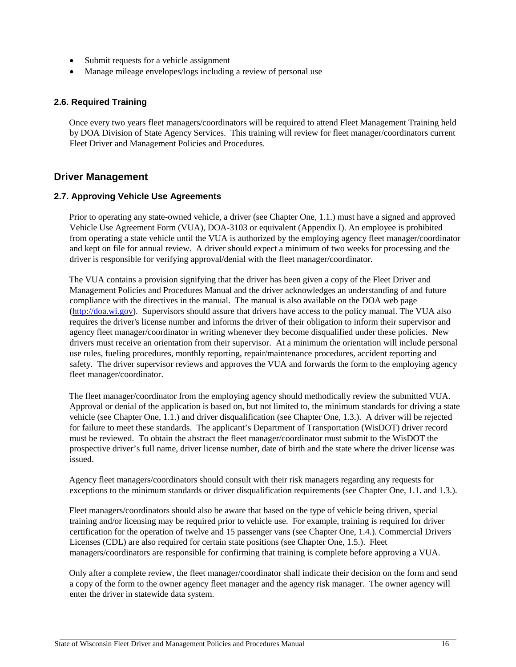- Submit requests for a vehicle assignment
- Manage mileage envelopes/logs including a review of personal use

#### <span id="page-23-0"></span>**2.6. Required Training**

Once every two years fleet managers/coordinators will be required to attend Fleet Management Training held by DOA Division of State Agency Services. This training will review for fleet manager/coordinators current Fleet Driver and Management Policies and Procedures.

#### <span id="page-23-1"></span>**Driver Management**

#### <span id="page-23-2"></span>**2.7. Approving Vehicle Use Agreements**

Prior to operating any state-owned vehicle, a driver (see Chapter One, 1.1.) must have a signed and approved Vehicle Use Agreement Form (VUA), DOA-3103 or equivalent (Appendix I). An employee is prohibited from operating a state vehicle until the VUA is authorized by the employing agency fleet manager/coordinator and kept on file for annual review. A driver should expect a minimum of two weeks for processing and the driver is responsible for verifying approval/denial with the fleet manager/coordinator.

The VUA contains a provision signifying that the driver has been given a copy of the Fleet Driver and Management Policies and Procedures Manual and the driver acknowledges an understanding of and future compliance with the directives in the manual. The manual is also available on the DOA web page [\(http://doa.wi.gov\).](http://www.doa.state.wi.us/) Supervisors should assure that drivers have access to the policy manual. The VUA also requires the driver's license number and informs the driver of their obligation to inform their supervisor and agency fleet manager/coordinator in writing whenever they become disqualified under these policies. New drivers must receive an orientation from their supervisor. At a minimum the orientation will include personal use rules, fueling procedures, monthly reporting, repair/maintenance procedures, accident reporting and safety. The driver supervisor reviews and approves the VUA and forwards the form to the employing agency fleet manager/coordinator.

The fleet manager/coordinator from the employing agency should methodically review the submitted VUA. Approval or denial of the application is based on, but not limited to, the minimum standards for driving a state vehicle (see Chapter One, 1.1.) and driver disqualification (see Chapter One, 1.3.). A driver will be rejected for failure to meet these standards. The applicant's Department of Transportation (WisDOT) driver record must be reviewed. To obtain the abstract the fleet manager/coordinator must submit to the WisDOT the prospective driver's full name, driver license number, date of birth and the state where the driver license was issued.

Agency fleet managers/coordinators should consult with their risk managers regarding any requests for exceptions to the minimum standards or driver disqualification requirements (see Chapter One, 1.1. and 1.3.).

Fleet managers/coordinators should also be aware that based on the type of vehicle being driven, special training and/or licensing may be required prior to vehicle use. For example, training is required for driver certification for the operation of twelve and 15 passenger vans (see Chapter One, 1.4.). Commercial Drivers Licenses (CDL) are also required for certain state positions (see Chapter One, 1.5.). Fleet managers/coordinators are responsible for confirming that training is complete before approving a VUA.

Only after a complete review, the fleet manager/coordinator shall indicate their decision on the form and send a copy of the form to the owner agency fleet manager and the agency risk manager. The owner agency will enter the driver in statewide data system.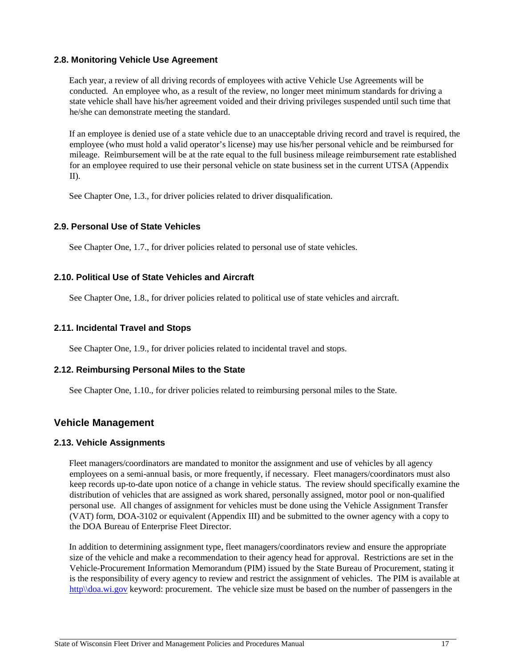#### <span id="page-24-0"></span>**2.8. Monitoring Vehicle Use Agreement**

Each year, a review of all driving records of employees with active Vehicle Use Agreements will be conducted. An employee who, as a result of the review, no longer meet minimum standards for driving a state vehicle shall have his/her agreement voided and their driving privileges suspended until such time that he/she can demonstrate meeting the standard.

If an employee is denied use of a state vehicle due to an unacceptable driving record and travel is required, the employee (who must hold a valid operator's license) may use his/her personal vehicle and be reimbursed for mileage. Reimbursement will be at the rate equal to the full business mileage reimbursement rate established for an employee required to use their personal vehicle on state business set in the current UTSA (Appendix II).

See Chapter One, 1.3., for driver policies related to driver disqualification.

#### **2.9. Personal Use of State Vehicles**

See Chapter One, 1.7., for driver policies related to personal use of state vehicles.

#### **2.10. Political Use of State Vehicles and Aircraft**

See Chapter One, 1.8., for driver policies related to political use of state vehicles and aircraft.

#### **2.11. Incidental Travel and Stops**

See Chapter One, 1.9., for driver policies related to incidental travel and stops.

#### **2.12. Reimbursing Personal Miles to the State**

See Chapter One, 1.10., for driver policies related to reimbursing personal miles to the State.

#### <span id="page-24-1"></span>**Vehicle Management**

#### <span id="page-24-2"></span>**2.13. Vehicle Assignments**

Fleet managers/coordinators are mandated to monitor the assignment and use of vehicles by all agency employees on a semi-annual basis, or more frequently, if necessary. Fleet managers/coordinators must also keep records up-to-date upon notice of a change in vehicle status. The review should specifically examine the distribution of vehicles that are assigned as work shared, personally assigned, motor pool or non-qualified personal use. All changes of assignment for vehicles must be done using the Vehicle Assignment Transfer (VAT) form, DOA-3102 or equivalent (Appendix III) and be submitted to the owner agency with a copy to the DOA Bureau of Enterprise Fleet Director.

In addition to determining assignment type, fleet managers/coordinators review and ensure the appropriate size of the vehicle and make a recommendation to their agency head for approval. Restrictions are set in the Vehicle-Procurement Information Memorandum (PIM) issued by the State Bureau of Procurement, stating it is the responsibility of every agency to review and restrict the assignment of vehicles. The PIM is available at http\\doa.wi.gov keyword: procurement. The vehicle size must be based on the number of passengers in the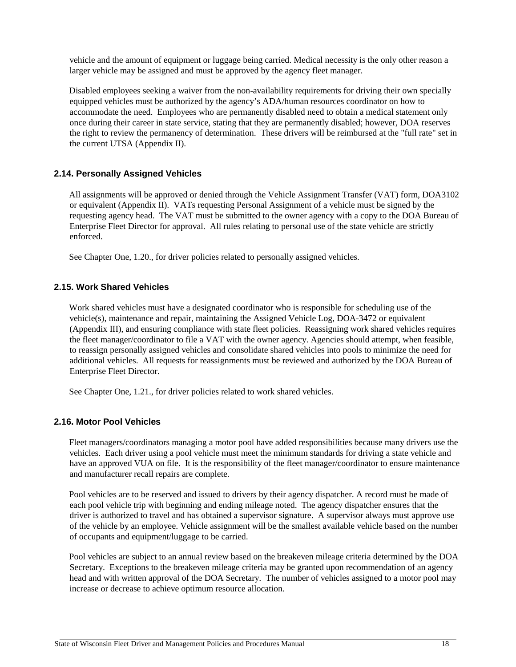vehicle and the amount of equipment or luggage being carried. Medical necessity is the only other reason a larger vehicle may be assigned and must be approved by the agency fleet manager.

Disabled employees seeking a waiver from the non-availability requirements for driving their own specially equipped vehicles must be authorized by the agency's ADA/human resources coordinator on how to accommodate the need. Employees who are permanently disabled need to obtain a medical statement only once during their career in state service, stating that they are permanently disabled; however, DOA reserves the right to review the permanency of determination. These drivers will be reimbursed at the "full rate" set in the current UTSA (Appendix II).

#### <span id="page-25-0"></span>**2.14. Personally Assigned Vehicles**

All assignments will be approved or denied through the Vehicle Assignment Transfer (VAT) form, DOA3102 or equivalent (Appendix II). VATs requesting Personal Assignment of a vehicle must be signed by the requesting agency head. The VAT must be submitted to the owner agency with a copy to the DOA Bureau of Enterprise Fleet Director for approval. All rules relating to personal use of the state vehicle are strictly enforced.

See Chapter One, 1.20., for driver policies related to personally assigned vehicles.

#### <span id="page-25-1"></span>**2.15. Work Shared Vehicles**

Work shared vehicles must have a designated coordinator who is responsible for scheduling use of the vehicle(s), maintenance and repair, maintaining the Assigned Vehicle Log, DOA-3472 or equivalent (Appendix III), and ensuring compliance with state fleet policies. Reassigning work shared vehicles requires the fleet manager/coordinator to file a VAT with the owner agency. Agencies should attempt, when feasible, to reassign personally assigned vehicles and consolidate shared vehicles into pools to minimize the need for additional vehicles. All requests for reassignments must be reviewed and authorized by the DOA Bureau of Enterprise Fleet Director.

See Chapter One, 1.21., for driver policies related to work shared vehicles.

#### <span id="page-25-2"></span>**2.16. Motor Pool Vehicles**

Fleet managers/coordinators managing a motor pool have added responsibilities because many drivers use the vehicles. Each driver using a pool vehicle must meet the minimum standards for driving a state vehicle and have an approved VUA on file. It is the responsibility of the fleet manager/coordinator to ensure maintenance and manufacturer recall repairs are complete.

Pool vehicles are to be reserved and issued to drivers by their agency dispatcher. A record must be made of each pool vehicle trip with beginning and ending mileage noted. The agency dispatcher ensures that the driver is authorized to travel and has obtained a supervisor signature. A supervisor always must approve use of the vehicle by an employee. Vehicle assignment will be the smallest available vehicle based on the number of occupants and equipment/luggage to be carried.

Pool vehicles are subject to an annual review based on the breakeven mileage criteria determined by the DOA Secretary. Exceptions to the breakeven mileage criteria may be granted upon recommendation of an agency head and with written approval of the DOA Secretary. The number of vehicles assigned to a motor pool may increase or decrease to achieve optimum resource allocation.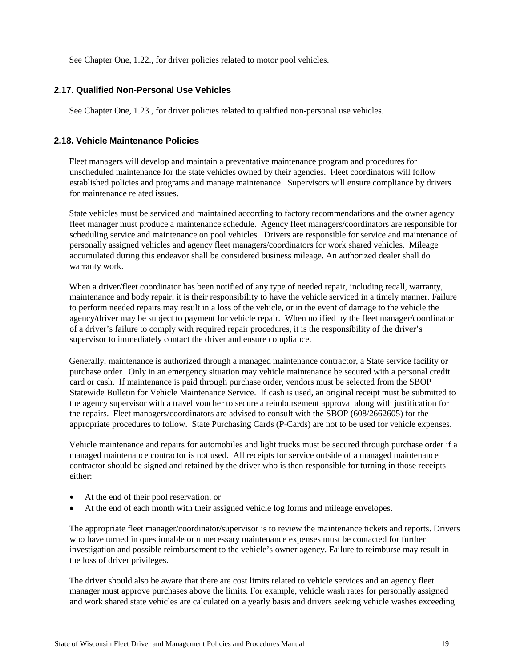See Chapter One, 1.22., for driver policies related to motor pool vehicles.

#### **2.17. Qualified Non-Personal Use Vehicles**

See Chapter One, 1.23., for driver policies related to qualified non-personal use vehicles.

#### <span id="page-26-0"></span>**2.18. Vehicle Maintenance Policies**

Fleet managers will develop and maintain a preventative maintenance program and procedures for unscheduled maintenance for the state vehicles owned by their agencies. Fleet coordinators will follow established policies and programs and manage maintenance. Supervisors will ensure compliance by drivers for maintenance related issues.

State vehicles must be serviced and maintained according to factory recommendations and the owner agency fleet manager must produce a maintenance schedule. Agency fleet managers/coordinators are responsible for scheduling service and maintenance on pool vehicles. Drivers are responsible for service and maintenance of personally assigned vehicles and agency fleet managers/coordinators for work shared vehicles. Mileage accumulated during this endeavor shall be considered business mileage. An authorized dealer shall do warranty work.

When a driver/fleet coordinator has been notified of any type of needed repair, including recall, warranty, maintenance and body repair, it is their responsibility to have the vehicle serviced in a timely manner. Failure to perform needed repairs may result in a loss of the vehicle, or in the event of damage to the vehicle the agency/driver may be subject to payment for vehicle repair. When notified by the fleet manager/coordinator of a driver's failure to comply with required repair procedures, it is the responsibility of the driver's supervisor to immediately contact the driver and ensure compliance.

Generally, maintenance is authorized through a managed maintenance contractor, a State service facility or purchase order. Only in an emergency situation may vehicle maintenance be secured with a personal credit card or cash. If maintenance is paid through purchase order, vendors must be selected from the SBOP Statewide Bulletin for Vehicle Maintenance Service. If cash is used, an original receipt must be submitted to the agency supervisor with a travel voucher to secure a reimbursement approval along with justification for the repairs. Fleet managers/coordinators are advised to consult with the SBOP (608/2662605) for the appropriate procedures to follow. State Purchasing Cards (P-Cards) are not to be used for vehicle expenses.

Vehicle maintenance and repairs for automobiles and light trucks must be secured through purchase order if a managed maintenance contractor is not used. All receipts for service outside of a managed maintenance contractor should be signed and retained by the driver who is then responsible for turning in those receipts either:

- At the end of their pool reservation, or
- At the end of each month with their assigned vehicle log forms and mileage envelopes.

The appropriate fleet manager/coordinator/supervisor is to review the maintenance tickets and reports. Drivers who have turned in questionable or unnecessary maintenance expenses must be contacted for further investigation and possible reimbursement to the vehicle's owner agency. Failure to reimburse may result in the loss of driver privileges.

The driver should also be aware that there are cost limits related to vehicle services and an agency fleet manager must approve purchases above the limits. For example, vehicle wash rates for personally assigned and work shared state vehicles are calculated on a yearly basis and drivers seeking vehicle washes exceeding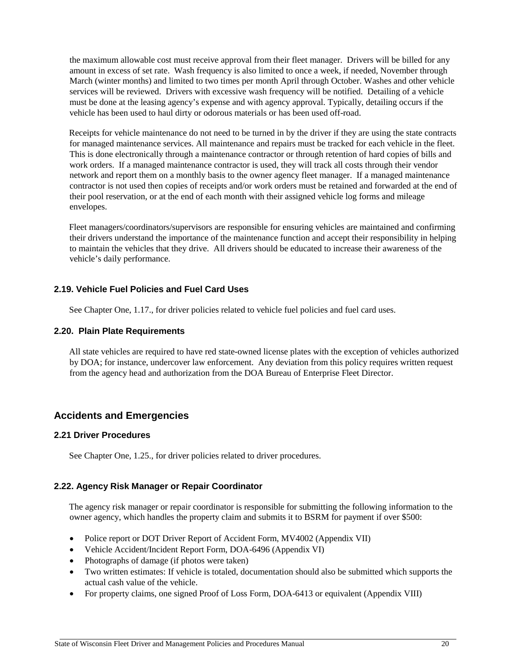the maximum allowable cost must receive approval from their fleet manager. Drivers will be billed for any amount in excess of set rate. Wash frequency is also limited to once a week, if needed, November through March (winter months) and limited to two times per month April through October. Washes and other vehicle services will be reviewed. Drivers with excessive wash frequency will be notified. Detailing of a vehicle must be done at the leasing agency's expense and with agency approval. Typically, detailing occurs if the vehicle has been used to haul dirty or odorous materials or has been used off-road.

Receipts for vehicle maintenance do not need to be turned in by the driver if they are using the state contracts for managed maintenance services. All maintenance and repairs must be tracked for each vehicle in the fleet. This is done electronically through a maintenance contractor or through retention of hard copies of bills and work orders. If a managed maintenance contractor is used, they will track all costs through their vendor network and report them on a monthly basis to the owner agency fleet manager. If a managed maintenance contractor is not used then copies of receipts and/or work orders must be retained and forwarded at the end of their pool reservation, or at the end of each month with their assigned vehicle log forms and mileage envelopes.

Fleet managers/coordinators/supervisors are responsible for ensuring vehicles are maintained and confirming their drivers understand the importance of the maintenance function and accept their responsibility in helping to maintain the vehicles that they drive. All drivers should be educated to increase their awareness of the vehicle's daily performance.

#### **2.19. Vehicle Fuel Policies and Fuel Card Uses**

See Chapter One, 1.17., for driver policies related to vehicle fuel policies and fuel card uses.

#### <span id="page-27-0"></span>**2.20. Plain Plate Requirements**

All state vehicles are required to have red state-owned license plates with the exception of vehicles authorized by DOA; for instance, undercover law enforcement. Any deviation from this policy requires written request from the agency head and authorization from the DOA Bureau of Enterprise Fleet Director.

#### <span id="page-27-1"></span>**Accidents and Emergencies**

#### **2.21 Driver Procedures**

See Chapter One, 1.25., for driver policies related to driver procedures.

#### <span id="page-27-2"></span>**2.22. Agency Risk Manager or Repair Coordinator**

The agency risk manager or repair coordinator is responsible for submitting the following information to the owner agency, which handles the property claim and submits it to BSRM for payment if over \$500:

- Police report or DOT Driver Report of Accident Form, MV4002 (Appendix VII)
- Vehicle Accident/Incident Report Form, DOA-6496 (Appendix VI)
- Photographs of damage (if photos were taken)
- Two written estimates: If vehicle is totaled, documentation should also be submitted which supports the actual cash value of the vehicle.
- For property claims, one signed Proof of Loss Form, DOA-6413 or equivalent (Appendix VIII)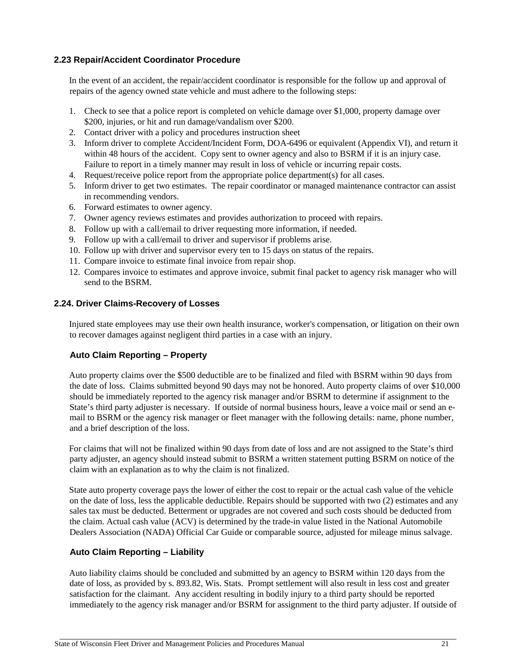#### <span id="page-28-0"></span>**2.23 Repair/Accident Coordinator Procedure**

In the event of an accident, the repair/accident coordinator is responsible for the follow up and approval of repairs of the agency owned state vehicle and must adhere to the following steps:

- 1. Check to see that a police report is completed on vehicle damage over \$1,000, property damage over \$200, injuries, or hit and run damage/vandalism over \$200.
- 2. Contact driver with a policy and procedures instruction sheet
- 3. Inform driver to complete Accident/Incident Form, DOA-6496 or equivalent (Appendix VI), and return it within 48 hours of the accident. Copy sent to owner agency and also to BSRM if it is an injury case. Failure to report in a timely manner may result in loss of vehicle or incurring repair costs.
- 4. Request/receive police report from the appropriate police department(s) for all cases.
- 5. Inform driver to get two estimates. The repair coordinator or managed maintenance contractor can assist in recommending vendors.
- 6. Forward estimates to owner agency.
- 7. Owner agency reviews estimates and provides authorization to proceed with repairs.
- 8. Follow up with a call/email to driver requesting more information, if needed.
- 9. Follow up with a call/email to driver and supervisor if problems arise.
- 10. Follow up with driver and supervisor every ten to 15 days on status of the repairs.
- 11. Compare invoice to estimate final invoice from repair shop.
- 12. Compares invoice to estimates and approve invoice, submit final packet to agency risk manager who will send to the BSRM.

#### <span id="page-28-1"></span>**2.24. Driver Claims-Recovery of Losses**

Injured state employees may use their own health insurance, worker's compensation, or litigation on their own to recover damages against negligent third parties in a case with an injury.

#### <span id="page-28-2"></span>**Auto Claim Reporting – Property**

Auto property claims over the \$500 deductible are to be finalized and filed with BSRM within 90 days from the date of loss. Claims submitted beyond 90 days may not be honored. Auto property claims of over \$10,000 should be immediately reported to the agency risk manager and/or BSRM to determine if assignment to the State's third party adjuster is necessary. If outside of normal business hours, leave a voice mail or send an email to BSRM or the agency risk manager or fleet manager with the following details: name, phone number, and a brief description of the loss.

For claims that will not be finalized within 90 days from date of loss and are not assigned to the State's third party adjuster, an agency should instead submit to BSRM a written statement putting BSRM on notice of the claim with an explanation as to why the claim is not finalized.

State auto property coverage pays the lower of either the cost to repair or the actual cash value of the vehicle on the date of loss, less the applicable deductible. Repairs should be supported with two (2) estimates and any sales tax must be deducted. Betterment or upgrades are not covered and such costs should be deducted from the claim. Actual cash value (ACV) is determined by the trade-in value listed in the National Automobile Dealers Association (NADA) Official Car Guide or comparable source, adjusted for mileage minus salvage.

#### <span id="page-28-3"></span>**Auto Claim Reporting – Liability**

Auto liability claims should be concluded and submitted by an agency to BSRM within 120 days from the date of loss, as provided by s. 893.82, Wis. Stats. Prompt settlement will also result in less cost and greater satisfaction for the claimant. Any accident resulting in bodily injury to a third party should be reported immediately to the agency risk manager and/or BSRM for assignment to the third party adjuster. If outside of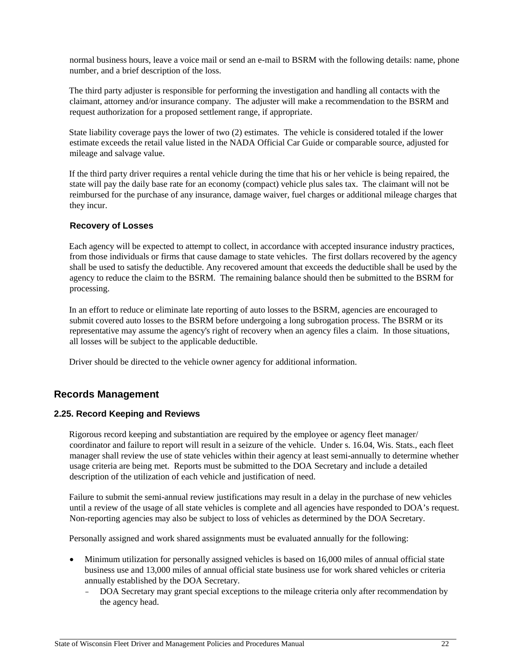normal business hours, leave a voice mail or send an e-mail to BSRM with the following details: name, phone number, and a brief description of the loss.

The third party adjuster is responsible for performing the investigation and handling all contacts with the claimant, attorney and/or insurance company. The adjuster will make a recommendation to the BSRM and request authorization for a proposed settlement range, if appropriate.

State liability coverage pays the lower of two (2) estimates. The vehicle is considered totaled if the lower estimate exceeds the retail value listed in the NADA Official Car Guide or comparable source, adjusted for mileage and salvage value.

If the third party driver requires a rental vehicle during the time that his or her vehicle is being repaired, the state will pay the daily base rate for an economy (compact) vehicle plus sales tax. The claimant will not be reimbursed for the purchase of any insurance, damage waiver, fuel charges or additional mileage charges that they incur.

#### <span id="page-29-0"></span>**Recovery of Losses**

Each agency will be expected to attempt to collect, in accordance with accepted insurance industry practices, from those individuals or firms that cause damage to state vehicles. The first dollars recovered by the agency shall be used to satisfy the deductible. Any recovered amount that exceeds the deductible shall be used by the agency to reduce the claim to the BSRM. The remaining balance should then be submitted to the BSRM for processing.

In an effort to reduce or eliminate late reporting of auto losses to the BSRM, agencies are encouraged to submit covered auto losses to the BSRM before undergoing a long subrogation process. The BSRM or its representative may assume the agency's right of recovery when an agency files a claim. In those situations, all losses will be subject to the applicable deductible.

Driver should be directed to the vehicle owner agency for additional information.

#### <span id="page-29-1"></span>**Records Management**

#### <span id="page-29-2"></span>**2.25. Record Keeping and Reviews**

Rigorous record keeping and substantiation are required by the employee or agency fleet manager/ coordinator and failure to report will result in a seizure of the vehicle. Under s. 16.04, Wis. Stats., each fleet manager shall review the use of state vehicles within their agency at least semi-annually to determine whether usage criteria are being met. Reports must be submitted to the DOA Secretary and include a detailed description of the utilization of each vehicle and justification of need.

Failure to submit the semi-annual review justifications may result in a delay in the purchase of new vehicles until a review of the usage of all state vehicles is complete and all agencies have responded to DOA's request. Non-reporting agencies may also be subject to loss of vehicles as determined by the DOA Secretary.

Personally assigned and work shared assignments must be evaluated annually for the following:

- Minimum utilization for personally assigned vehicles is based on 16,000 miles of annual official state business use and 13,000 miles of annual official state business use for work shared vehicles or criteria annually established by the DOA Secretary.
	- − DOA Secretary may grant special exceptions to the mileage criteria only after recommendation by the agency head.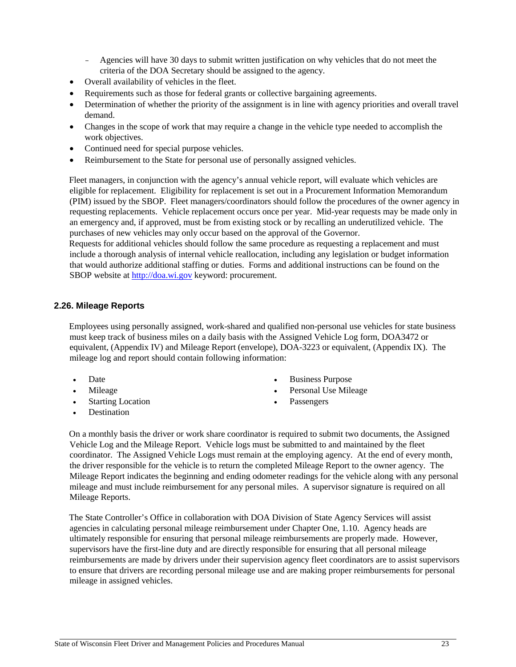- − Agencies will have 30 days to submit written justification on why vehicles that do not meet the criteria of the DOA Secretary should be assigned to the agency.
- Overall availability of vehicles in the fleet.
- Requirements such as those for federal grants or collective bargaining agreements.
- Determination of whether the priority of the assignment is in line with agency priorities and overall travel demand.
- Changes in the scope of work that may require a change in the vehicle type needed to accomplish the work objectives.
- Continued need for special purpose vehicles.
- Reimbursement to the State for personal use of personally assigned vehicles.

Fleet managers, in conjunction with the agency's annual vehicle report, will evaluate which vehicles are eligible for replacement. Eligibility for replacement is set out in a Procurement Information Memorandum (PIM) issued by the SBOP. Fleet managers/coordinators should follow the procedures of the owner agency in requesting replacements. Vehicle replacement occurs once per year. Mid-year requests may be made only in an emergency and, if approved, must be from existing stock or by recalling an underutilized vehicle. The purchases of new vehicles may only occur based on the approval of the Governor.

Requests for additional vehicles should follow the same procedure as requesting a replacement and must include a thorough analysis of internal vehicle reallocation, including any legislation or budget information that would authorize additional staffing or duties. Forms and additional instructions can be found on the SBOP website at [http://doa.wi.gov](http://www.doa.state.wi.us/) [k](http://www.doa.state.wi.us/)eyword: procurement.

#### <span id="page-30-0"></span>**2.26. Mileage Reports**

Employees using personally assigned, work-shared and qualified non-personal use vehicles for state business must keep track of business miles on a daily basis with the Assigned Vehicle Log form, DOA3472 or equivalent, (Appendix IV) and Mileage Report (envelope), DOA-3223 or equivalent, (Appendix IX). The mileage log and report should contain following information:

- Date
- Mileage
- **Starting Location**
- Destination
- **Business Purpose**
- Personal Use Mileage
- **Passengers**

On a monthly basis the driver or work share coordinator is required to submit two documents, the Assigned Vehicle Log and the Mileage Report. Vehicle logs must be submitted to and maintained by the fleet coordinator. The Assigned Vehicle Logs must remain at the employing agency. At the end of every month, the driver responsible for the vehicle is to return the completed Mileage Report to the owner agency. The Mileage Report indicates the beginning and ending odometer readings for the vehicle along with any personal mileage and must include reimbursement for any personal miles. A supervisor signature is required on all Mileage Reports.

The State Controller's Office in collaboration with DOA Division of State Agency Services will assist agencies in calculating personal mileage reimbursement under Chapter One, 1.10. Agency heads are ultimately responsible for ensuring that personal mileage reimbursements are properly made. However, supervisors have the first-line duty and are directly responsible for ensuring that all personal mileage reimbursements are made by drivers under their supervision agency fleet coordinators are to assist supervisors to ensure that drivers are recording personal mileage use and are making proper reimbursements for personal mileage in assigned vehicles.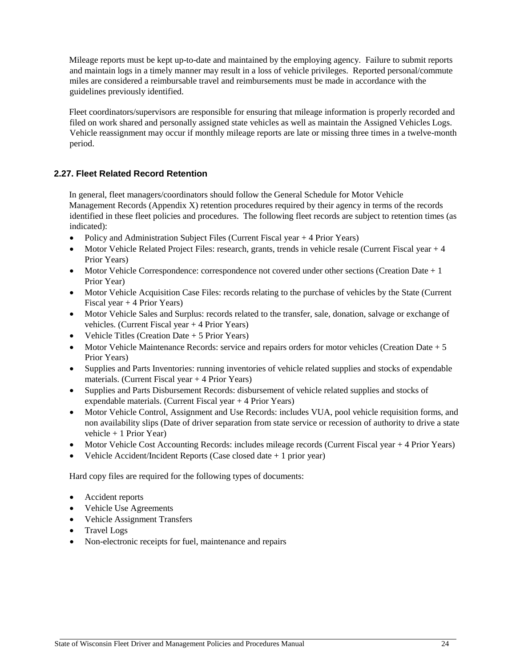Mileage reports must be kept up-to-date and maintained by the employing agency. Failure to submit reports and maintain logs in a timely manner may result in a loss of vehicle privileges. Reported personal/commute miles are considered a reimbursable travel and reimbursements must be made in accordance with the guidelines previously identified.

Fleet coordinators/supervisors are responsible for ensuring that mileage information is properly recorded and filed on work shared and personally assigned state vehicles as well as maintain the Assigned Vehicles Logs. Vehicle reassignment may occur if monthly mileage reports are late or missing three times in a twelve-month period.

#### <span id="page-31-0"></span>**2.27. Fleet Related Record Retention**

In general, fleet managers/coordinators should follow the General Schedule for Motor Vehicle Management Records (Appendix X) retention procedures required by their agency in terms of the records identified in these fleet policies and procedures. The following fleet records are subject to retention times (as indicated):

- Policy and Administration Subject Files (Current Fiscal year + 4 Prior Years)
- Motor Vehicle Related Project Files: research, grants, trends in vehicle resale (Current Fiscal year + 4 Prior Years)
- Motor Vehicle Correspondence: correspondence not covered under other sections (Creation Date  $+1$ ) Prior Year)
- Motor Vehicle Acquisition Case Files: records relating to the purchase of vehicles by the State (Current Fiscal year  $+$  4 Prior Years)
- Motor Vehicle Sales and Surplus: records related to the transfer, sale, donation, salvage or exchange of vehicles. (Current Fiscal year + 4 Prior Years)
- Vehicle Titles (Creation Date + 5 Prior Years)
- Motor Vehicle Maintenance Records: service and repairs orders for motor vehicles (Creation Date + 5 Prior Years)
- Supplies and Parts Inventories: running inventories of vehicle related supplies and stocks of expendable materials. (Current Fiscal year + 4 Prior Years)
- Supplies and Parts Disbursement Records: disbursement of vehicle related supplies and stocks of expendable materials. (Current Fiscal year + 4 Prior Years)
- Motor Vehicle Control, Assignment and Use Records: includes VUA, pool vehicle requisition forms, and non availability slips (Date of driver separation from state service or recession of authority to drive a state vehicle + 1 Prior Year)
- Motor Vehicle Cost Accounting Records: includes mileage records (Current Fiscal year + 4 Prior Years)
- Vehicle Accident/Incident Reports (Case closed date + 1 prior year)

Hard copy files are required for the following types of documents:

- Accident reports
- Vehicle Use Agreements
- Vehicle Assignment Transfers
- Travel Logs
- Non-electronic receipts for fuel, maintenance and repairs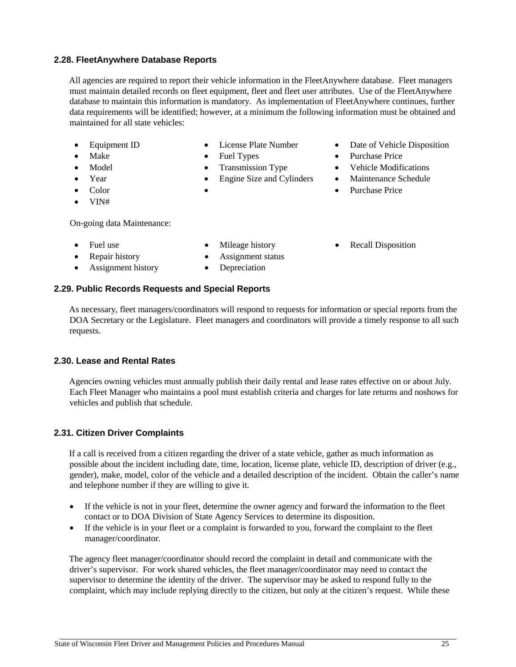State of Wisconsin Fleet Driver and Management Policies and Procedures Manual 25

#### <span id="page-32-0"></span>**2.28. FleetAnywhere Database Reports**

All agencies are required to report their vehicle information in the FleetAnywhere database. Fleet managers must maintain detailed records on fleet equipment, fleet and fleet user attributes. Use of the FleetAnywhere database to maintain this information is mandatory. As implementation of FleetAnywhere continues, further data requirements will be identified; however, at a minimum the following information must be obtained and maintained for all state vehicles:

- 
- 
- 
- 
- 
- VIN#

On-going data Maintenance:

- - **Parameters •** Assignment status
- Assignment history Depreciation
- 
- Equipment ID License Plate Number Date of Vehicle Disposition
- Make Fuel Types Purchase Price
- Model Transmission Type Vehicle Modifications
- Year Engine Size and Cylinders Maintenance Schedule
- Color • Purchase Price
- Fuel use Mileage history Recall Disposition
- <span id="page-32-1"></span>**2.29. Public Records Requests and Special Reports**

As necessary, fleet managers/coordinators will respond to requests for information or special reports from the DOA Secretary or the Legislature. Fleet managers and coordinators will provide a timely response to all such requests.

#### <span id="page-32-2"></span>**2.30. Lease and Rental Rates**

Agencies owning vehicles must annually publish their daily rental and lease rates effective on or about July. Each Fleet Manager who maintains a pool must establish criteria and charges for late returns and noshows for vehicles and publish that schedule.

#### <span id="page-32-3"></span>**2.31. Citizen Driver Complaints**

If a call is received from a citizen regarding the driver of a state vehicle, gather as much information as possible about the incident including date, time, location, license plate, vehicle ID, description of driver (e.g., gender), make, model, color of the vehicle and a detailed description of the incident. Obtain the caller's name and telephone number if they are willing to give it.

- If the vehicle is not in your fleet, determine the owner agency and forward the information to the fleet contact or to DOA Division of State Agency Services to determine its disposition.
- If the vehicle is in your fleet or a complaint is forwarded to you, forward the complaint to the fleet manager/coordinator.

The agency fleet manager/coordinator should record the complaint in detail and communicate with the driver's supervisor. For work shared vehicles, the fleet manager/coordinator may need to contact the supervisor to determine the identity of the driver. The supervisor may be asked to respond fully to the complaint, which may include replying directly to the citizen, but only at the citizen's request. While these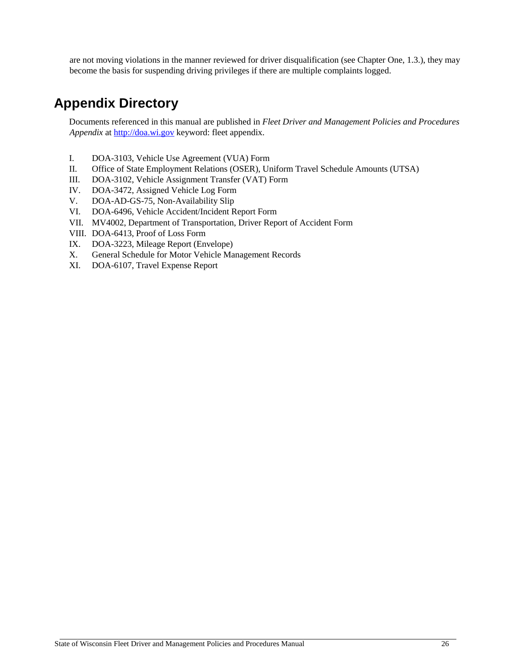are not moving violations in the manner reviewed for driver disqualification (see Chapter One, 1.3.), they may become the basis for suspending driving privileges if there are multiple complaints logged.

## <span id="page-33-0"></span>**Appendix Directory**

Documents referenced in this manual are published in *Fleet Driver and Management Policies and Procedures Appendix* at [http://doa.wi.gov](http://www.doa.state.wi.us/) [ke](http://www.doa.state.wi.us/)yword: fleet appendix.

- I. DOA-3103, Vehicle Use Agreement (VUA) Form
- II. Office of State Employment Relations (OSER), Uniform Travel Schedule Amounts (UTSA)
- III. DOA-3102, Vehicle Assignment Transfer (VAT) Form
- IV. DOA-3472, Assigned Vehicle Log Form
- V. DOA-AD-GS-75, Non-Availability Slip
- VI. DOA-6496, Vehicle Accident/Incident Report Form
- VII. MV4002, Department of Transportation, Driver Report of Accident Form
- VIII. DOA-6413, Proof of Loss Form
- IX. DOA-3223, Mileage Report (Envelope)
- X. General Schedule for Motor Vehicle Management Records
- XI. DOA-6107, Travel Expense Report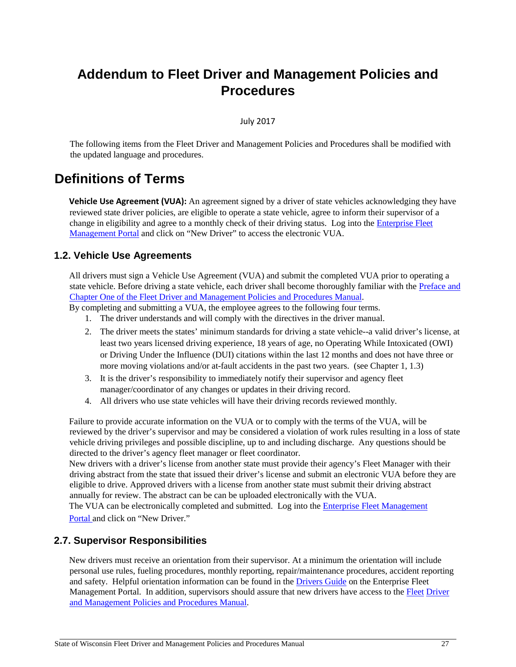## <span id="page-34-0"></span>**Addendum to Fleet Driver and Management Policies and Procedures**

#### July 2017

The following items from the Fleet Driver and Management Policies and Procedures shall be modified with the updated language and procedures.

### <span id="page-34-1"></span>**Definitions of Terms**

**Vehicle Use Agreement (VUA):** An agreement signed by a driver of state vehicles acknowledging they have reviewed state driver policies, are eligible to operate a state vehicle, agree to inform their supervisor of a change in eligibility and agree to a monthly check of their driving status. Log into the [Enterprise Fleet](https://fleetportal.wi.gov/) [Management Portal](https://fleetportal.wi.gov/) [a](https://fleetportal.wi.gov/)nd click on "New Driver" to access the electronic VUA.

#### <span id="page-34-2"></span>**1.2. Vehicle Use Agreements**

All drivers must sign a Vehicle Use Agreement (VUA) and submit the completed VUA prior to operating a state vehicle. Before driving a state vehicle, each driver shall become thoroughly familiar with the [Preface and](https://fleetportal.wi.gov/Home/ShowFleetPolicies)  [Chapter One of the Fleet Driver and Management Policies and Procedures Manual.](https://fleetportal.wi.gov/Home/ShowFleetPolicies) 

By completing and submitting a VUA, the employee agrees to the following four terms.

- 1. The driver understands and will comply with the directives in the driver manual.
- 2. The driver meets the states' minimum standards for driving a state vehicle--a valid driver's license, at least two years licensed driving experience, 18 years of age, no Operating While Intoxicated (OWI) or Driving Under the Influence (DUI) citations within the last 12 months and does not have three or more moving violations and/or at-fault accidents in the past two years. (see Chapter 1, 1.3)
- 3. It is the driver's responsibility to immediately notify their supervisor and agency fleet manager/coordinator of any changes or updates in their driving record.
- 4. All drivers who use state vehicles will have their driving records reviewed monthly.

Failure to provide accurate information on the VUA or to comply with the terms of the VUA, will be reviewed by the driver's supervisor and may be considered a violation of work rules resulting in a loss of state vehicle driving privileges and possible discipline, up to and including discharge. Any questions should be directed to the driver's agency fleet manager or fleet coordinator.

New drivers with a driver's license from another state must provide their agency's Fleet Manager with their driving abstract from the state that issued their driver's license and submit an electronic VUA before they are eligible to drive. Approved drivers with a license from another state must submit their driving abstract annually for review. The abstract can be can be uploaded electronically with the VUA.

The VUA can be electronically completed and submitted. Log into th[e](https://fleetportal.wi.gov/) [Enterprise Fleet Management](https://fleetportal.wi.gov/) [Portal](https://fleetportal.wi.gov/) and click on "New Driver."

#### <span id="page-34-3"></span>**2.7. Supervisor Responsibilities**

New drivers must receive an orientation from their supervisor. At a minimum the orientation will include personal use rules, fueling procedures, monthly reporting, repair/maintenance procedures, accident reporting and safety. Helpful orientation information can be found in the [Drivers Guide](https://fleetportal.wi.gov/VUA/ShowDriverManagementPolicies) on the Enterprise Fleet Management Portal. In addition, supervisors should assure that new drivers have access to the [Fleet](https://fleetportal.wi.gov/Home/ShowFleetPolicies) [Driver](https://fleetportal.wi.gov/Home/ShowFleetPolicies)  [and Management Policies and Procedures Manual.](https://fleetportal.wi.gov/Home/ShowFleetPolicies)